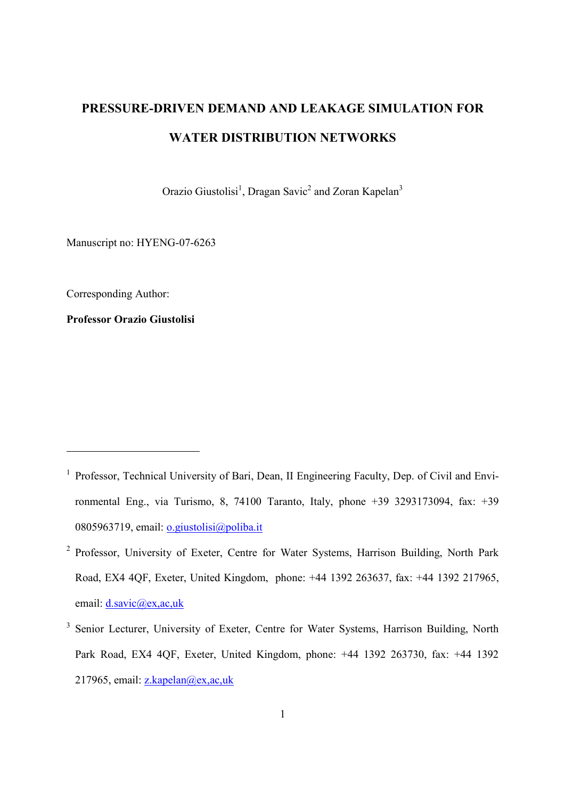# **PRESSURE-DRIVEN DEMAND AND LEAKAGE SIMULATION FOR WATER DISTRIBUTION NETWORKS**

Orazio Giustolisi<sup>1</sup>, Dragan Savic<sup>2</sup> and Zoran Kapelan<sup>3</sup>

Manuscript no: HYENG-07-6263

Corresponding Author:

-

**Professor Orazio Giustolisi** 

<sup>&</sup>lt;sup>1</sup> Professor, Technical University of Bari, Dean, II Engineering Faculty, Dep. of Civil and Environmental Eng., via Turismo, 8, 74100 Taranto, Italy, phone +39 3293173094, fax: +39 0805963719, email: o.giustolisi@poliba.it

<sup>&</sup>lt;sup>2</sup> Professor, University of Exeter, Centre for Water Systems, Harrison Building, North Park Road, EX4 4QF, Exeter, United Kingdom, phone: +44 1392 263637, fax: +44 1392 217965, email: d.savic@ex,ac,uk

<sup>&</sup>lt;sup>3</sup> Senior Lecturer, University of Exeter, Centre for Water Systems, Harrison Building, North Park Road, EX4 4QF, Exeter, United Kingdom, phone: +44 1392 263730, fax: +44 1392 217965, email:  $z$ , kapelan@ex, ac, uk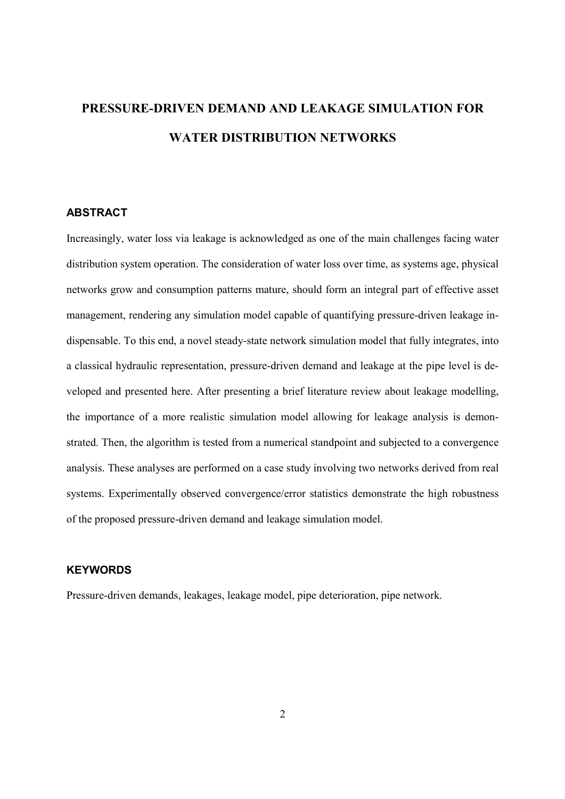# **PRESSURE-DRIVEN DEMAND AND LEAKAGE SIMULATION FOR WATER DISTRIBUTION NETWORKS**

# **ABSTRACT**

Increasingly, water loss via leakage is acknowledged as one of the main challenges facing water distribution system operation. The consideration of water loss over time, as systems age, physical networks grow and consumption patterns mature, should form an integral part of effective asset management, rendering any simulation model capable of quantifying pressure-driven leakage indispensable. To this end, a novel steady-state network simulation model that fully integrates, into a classical hydraulic representation, pressure-driven demand and leakage at the pipe level is developed and presented here. After presenting a brief literature review about leakage modelling, the importance of a more realistic simulation model allowing for leakage analysis is demonstrated. Then, the algorithm is tested from a numerical standpoint and subjected to a convergence analysis. These analyses are performed on a case study involving two networks derived from real systems. Experimentally observed convergence/error statistics demonstrate the high robustness of the proposed pressure-driven demand and leakage simulation model.

### **KEYWORDS**

Pressure-driven demands, leakages, leakage model, pipe deterioration, pipe network.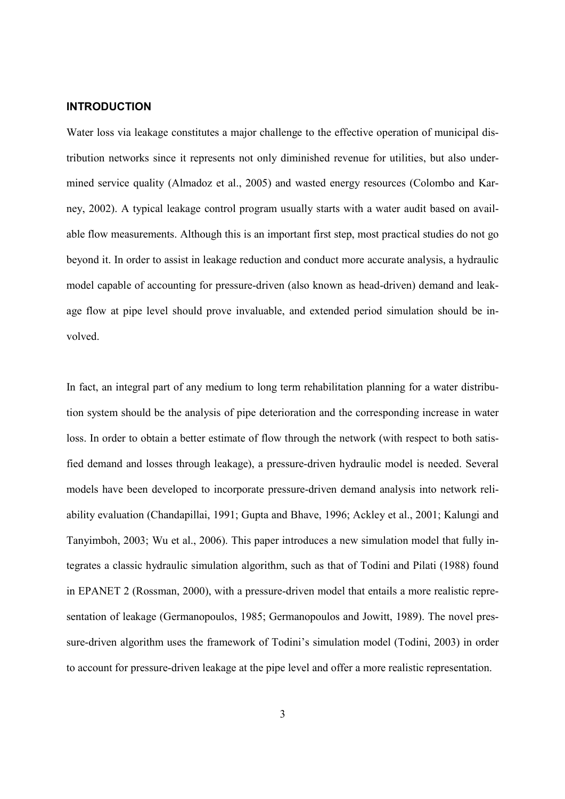#### **INTRODUCTION**

Water loss via leakage constitutes a major challenge to the effective operation of municipal distribution networks since it represents not only diminished revenue for utilities, but also undermined service quality (Almadoz et al., 2005) and wasted energy resources (Colombo and Karney, 2002). A typical leakage control program usually starts with a water audit based on available flow measurements. Although this is an important first step, most practical studies do not go beyond it. In order to assist in leakage reduction and conduct more accurate analysis, a hydraulic model capable of accounting for pressure-driven (also known as head-driven) demand and leakage flow at pipe level should prove invaluable, and extended period simulation should be involved.

In fact, an integral part of any medium to long term rehabilitation planning for a water distribution system should be the analysis of pipe deterioration and the corresponding increase in water loss. In order to obtain a better estimate of flow through the network (with respect to both satisfied demand and losses through leakage), a pressure-driven hydraulic model is needed. Several models have been developed to incorporate pressure-driven demand analysis into network reliability evaluation (Chandapillai, 1991; Gupta and Bhave, 1996; Ackley et al., 2001; Kalungi and Tanyimboh, 2003; Wu et al., 2006). This paper introduces a new simulation model that fully integrates a classic hydraulic simulation algorithm, such as that of Todini and Pilati (1988) found in EPANET 2 (Rossman, 2000), with a pressure-driven model that entails a more realistic representation of leakage (Germanopoulos, 1985; Germanopoulos and Jowitt, 1989). The novel pressure-driven algorithm uses the framework of Todini's simulation model (Todini, 2003) in order to account for pressure-driven leakage at the pipe level and offer a more realistic representation.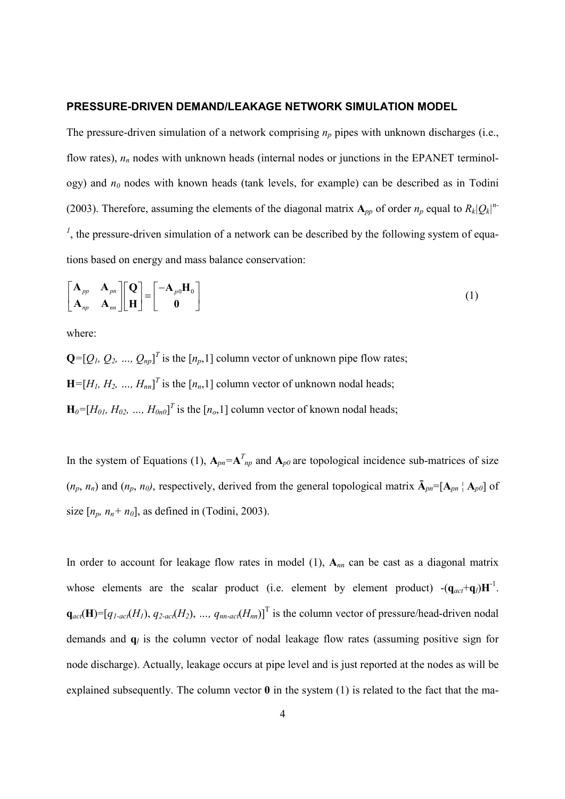#### **PRESSURE-DRIVEN DEMAND/LEAKAGE NETWORK SIMULATION MODEL**

The pressure-driven simulation of a network comprising  $n_p$  pipes with unknown discharges (i.e., flow rates),  $n_n$  nodes with unknown heads (internal nodes or junctions in the EPANET terminology) and *n0* nodes with known heads (tank levels, for example) can be described as in Todini (2003). Therefore, assuming the elements of the diagonal matrix  $A_{pp}$  of order  $n_p$  equal to  $R_k|Q_k|^{n-p}$ <sup>1</sup>, the pressure-driven simulation of a network can be described by the following system of equations based on energy and mass balance conservation:

$$
\begin{bmatrix}\n\mathbf{A}_{pp} & \mathbf{A}_{pn} \\
\mathbf{A}_{np} & \mathbf{A}_{nn}\n\end{bmatrix}\n\begin{bmatrix}\n\mathbf{Q} \\
\mathbf{H}\n\end{bmatrix} =\n\begin{bmatrix}\n-\mathbf{A}_{p0}\mathbf{H}_{0} \\
\mathbf{0}\n\end{bmatrix}
$$
\n(1)

where:

 $\mathbf{Q} = [\mathcal{Q}_1, \mathcal{Q}_2, ..., \mathcal{Q}_{np}]^T$  is the  $[n_p, 1]$  column vector of unknown pipe flow rates;  $\mathbf{H} = [H_1, H_2, ..., H_{nn}]^T$  is the  $[n_n, 1]$  column vector of unknown nodal heads;  $\mathbf{H}_{0}$ =[ $H_{01}$ *, H*<sub>02</sub>*, ...,*  $H_{0n0}$ ]<sup>T</sup> is the [ $n_o$ ,1] column vector of known nodal heads;

In the system of Equations (1),  $A_{pn} = A_{np}^T$  and  $A_{p0}$  are topological incidence sub-matrices of size  $(n_p, n_n)$  and  $(n_p, n_0)$ , respectively, derived from the general topological matrix  $\bar{A}_{pn}$ =[ $A_{pn}$ <sup>|</sup>  $A_{p0}$ ] of size  $[n_p, n_n + n_0]$ , as defined in (Todini, 2003).

In order to account for leakage flow rates in model (1), **A***nn* can be cast as a diagonal matrix whose elements are the scalar product (i.e. element by element product)  $-(\mathbf{q}_{act}+\mathbf{q}_l)\mathbf{H}^{-1}$ .  $q_{act}(\mathbf{H}) = [q_{1-act}(H_1), q_{2-act}(H_2), ..., q_{nn-act}(H_m)]$ <sup>T</sup> is the column vector of pressure/head-driven nodal demands and **q***l* is the column vector of nodal leakage flow rates (assuming positive sign for node discharge). Actually, leakage occurs at pipe level and is just reported at the nodes as will be explained subsequently. The column vector **0** in the system (1) is related to the fact that the ma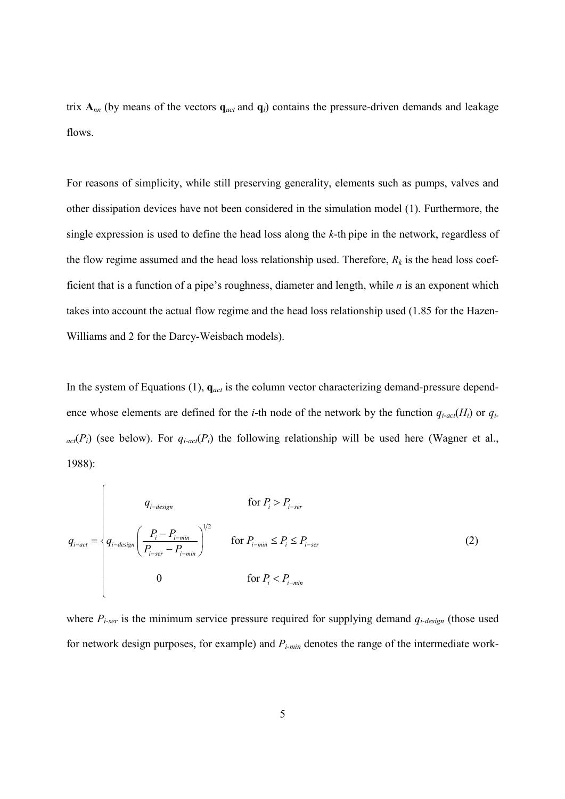trix  $A_{nn}$  (by means of the vectors  $q_{act}$  and  $q_l$ ) contains the pressure-driven demands and leakage flows.

For reasons of simplicity, while still preserving generality, elements such as pumps, valves and other dissipation devices have not been considered in the simulation model (1). Furthermore, the single expression is used to define the head loss along the *k*-th pipe in the network, regardless of the flow regime assumed and the head loss relationship used. Therefore, *Rk* is the head loss coefficient that is a function of a pipe's roughness, diameter and length, while *n* is an exponent which takes into account the actual flow regime and the head loss relationship used (1.85 for the Hazen-Williams and 2 for the Darcy-Weisbach models).

In the system of Equations (1),  $\mathbf{q}_{act}$  is the column vector characterizing demand-pressure dependence whose elements are defined for the *i*-th node of the network by the function  $q_{i\text{-}acc}(H_i)$  or  $q_i$ .  $_{act}(P_i)$  (see below). For  $q_{i-act}(P_i)$  the following relationship will be used here (Wagner et al., 1988):

$$
q_{i-\text{design}} = \begin{cases} q_{i-\text{design}} & \text{for } P_i > P_{i-\text{ser}} \\ q_{i-\text{design}} \left( \frac{P_i - P_{i-\text{min}}}{P_{i-\text{ser}} - P_{i-\text{min}}} \right)^{1/2} & \text{for } P_{i-\text{min}} \le P_i \le P_{i-\text{ser}} \\ 0 & \text{for } P_i < P_{i-\text{min}} \end{cases}
$$
 (2)

where  $P_{i\text{-}ser}$  is the minimum service pressure required for supplying demand  $q_{i\text{-}design}$  (those used for network design purposes, for example) and *Pi-min* denotes the range of the intermediate work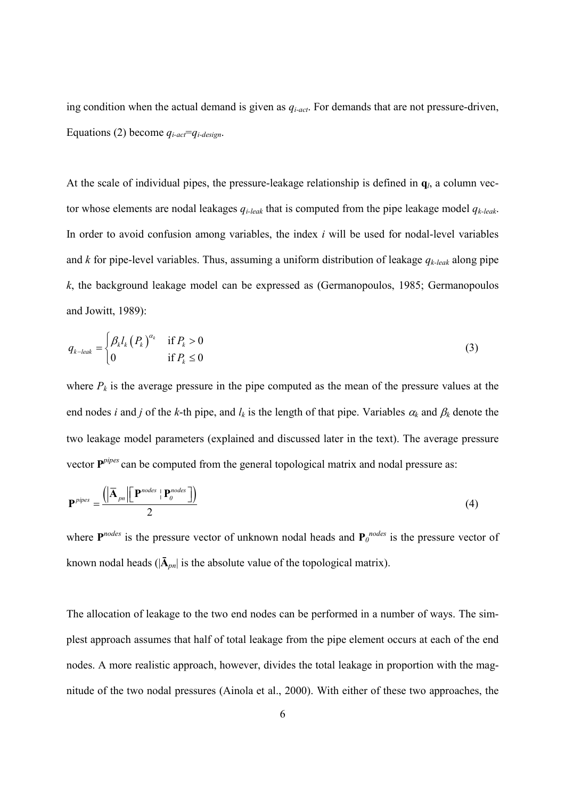ing condition when the actual demand is given as *qi-act*. For demands that are not pressure-driven, Equations (2) become  $q_{i-act}=q_{i-design}$ .

At the scale of individual pipes, the pressure-leakage relationship is defined in  $q_l$ , a column vector whose elements are nodal leakages *qi-leak* that is computed from the pipe leakage model *qk-leak*. In order to avoid confusion among variables, the index *i* will be used for nodal-level variables and *k* for pipe-level variables. Thus, assuming a uniform distribution of leakage *qk-leak* along pipe *k*, the background leakage model can be expressed as (Germanopoulos, 1985; Germanopoulos and Jowitt, 1989):

$$
q_{k-leak} = \begin{cases} \beta_k l_k (P_k)^{\alpha_k} & \text{if } P_k > 0 \\ 0 & \text{if } P_k \le 0 \end{cases}
$$
 (3)

where  $P_k$  is the average pressure in the pipe computed as the mean of the pressure values at the end nodes *i* and *j* of the *k*-th pipe, and  $l_k$  is the length of that pipe. Variables  $\alpha_k$  and  $\beta_k$  denote the two leakage model parameters (explained and discussed later in the text). The average pressure vector  $P^{pipes}$  can be computed from the general topological matrix and nodal pressure as:

$$
\mathbf{P}^{pipes} = \frac{\left( \left| \overline{\mathbf{A}}_{pn} \right| \left[ \mathbf{P}^{nodes} \mid \mathbf{P}_0^{nodes} \right] \right)}{2} \tag{4}
$$

where  $P^{nodes}$  is the pressure vector of unknown nodal heads and  $P_0^{nodes}$  is the pressure vector of known nodal heads ( $|\bar{A}_{pn}|$  is the absolute value of the topological matrix).

The allocation of leakage to the two end nodes can be performed in a number of ways. The simplest approach assumes that half of total leakage from the pipe element occurs at each of the end nodes. A more realistic approach, however, divides the total leakage in proportion with the magnitude of the two nodal pressures (Ainola et al., 2000). With either of these two approaches, the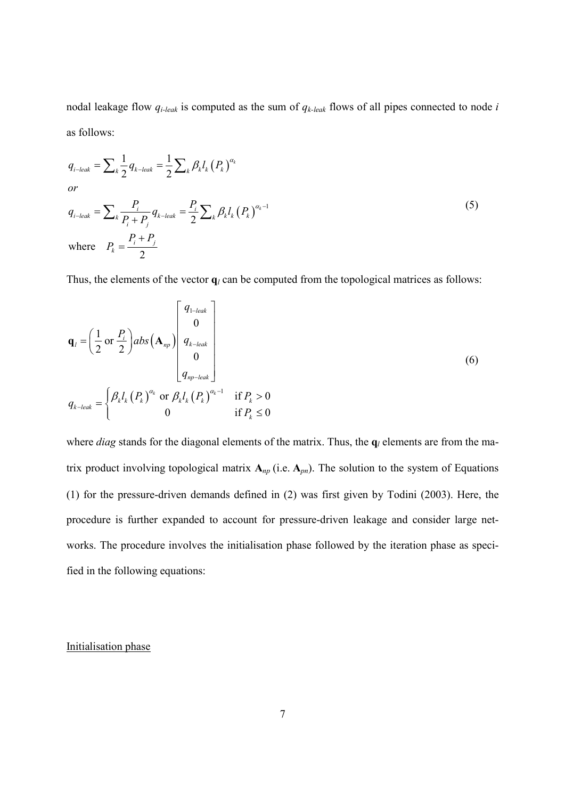nodal leakage flow *qi-leak* is computed as the sum of *qk-leak* flows of all pipes connected to node *i* as follows:

$$
q_{i-leak} = \sum_{k} \frac{1}{2} q_{k-leak} = \frac{1}{2} \sum_{k} \beta_{k} l_{k} (P_{k})^{\alpha_{k}}
$$
  
or  

$$
q_{i-leak} = \sum_{k} \frac{P_{i}}{P_{i} + P_{j}} q_{k-leak} = \frac{P_{i}}{2} \sum_{k} \beta_{k} l_{k} (P_{k})^{\alpha_{k}-1}
$$
  
where 
$$
P_{k} = \frac{P_{i} + P_{j}}{2}
$$
 (5)

Thus, the elements of the vector  $q_l$  can be computed from the topological matrices as follows:

$$
\mathbf{q}_{l} = \left(\frac{1}{2} \text{ or } \frac{P_{i}}{2}\right) abs\left(\mathbf{A}_{np}\right) \begin{bmatrix} q_{1-leak} \\ 0 \\ q_{k-leak} \\ 0 \\ q_{np-leak} \end{bmatrix}
$$
\n
$$
q_{k-leak} = \begin{cases} \beta_{k} l_{k} \left(P_{k}\right)^{\alpha_{k}} \text{ or } \beta_{k} l_{k} \left(P_{k}\right)^{\alpha_{k}-1} & \text{if } P_{k} > 0 \\ 0 & \text{if } P_{k} \leq 0 \end{cases}
$$
\n
$$
(6)
$$

where *diag* stands for the diagonal elements of the matrix. Thus, the  $q_l$  elements are from the matrix product involving topological matrix  $A_{np}$  (i.e.  $A_{pn}$ ). The solution to the system of Equations (1) for the pressure-driven demands defined in (2) was first given by Todini (2003). Here, the procedure is further expanded to account for pressure-driven leakage and consider large networks. The procedure involves the initialisation phase followed by the iteration phase as specified in the following equations:

#### Initialisation phase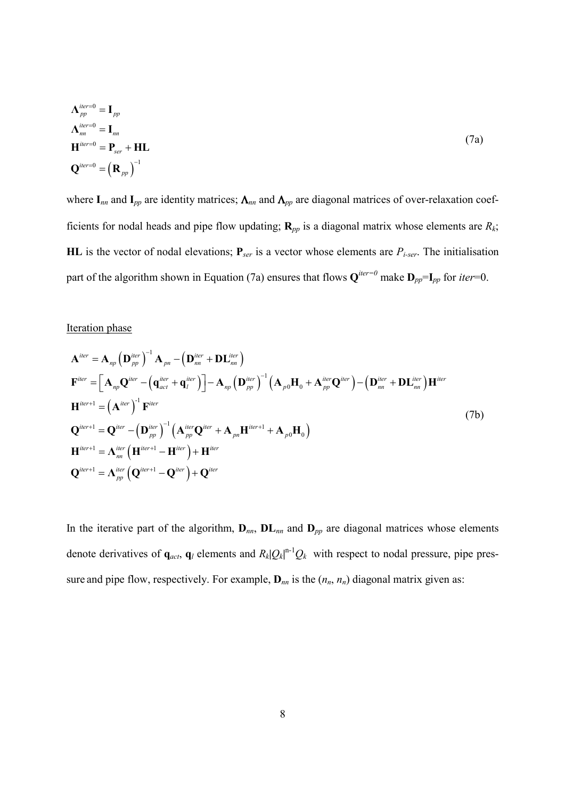$$
\Lambda_{pp}^{iter=0} = I_{pp}
$$
\n
$$
\Lambda_{nn}^{iter=0} = I_{nn}
$$
\n
$$
H^{iter=0} = P_{ser} + HL
$$
\n
$$
Q^{iter=0} = (R_{pp})^{-1}
$$
\n(7a)

where **I***nn* and **I***pp* are identity matrices; Λ*nn* and Λ*pp* are diagonal matrices of over-relaxation coefficients for nodal heads and pipe flow updating;  $\mathbf{R}_{pp}$  is a diagonal matrix whose elements are  $R_k$ ; **HL** is the vector of nodal elevations;  $P_{ser}$  is a vector whose elements are  $P_{i-ser}$ . The initialisation part of the algorithm shown in Equation (7a) ensures that flows  $Q^{iter=0}$  make  $D_{pp} = I_{pp}$  for *iter*=0.

### Iteration phase

$$
\mathbf{A}^{iter} = \mathbf{A}_{np} \left( \mathbf{D}_{pp}^{iter} \right)^{-1} \mathbf{A}_{pn} - \left( \mathbf{D}_{nn}^{iter} + \mathbf{D}\mathbf{L}_{nn}^{iter} \right)
$$
\n
$$
\mathbf{F}^{iter} = \left[ \mathbf{A}_{np} \mathbf{Q}^{iter} - \left( \mathbf{q}_{act}^{iter} + \mathbf{q}_{l}^{iter} \right) \right] - \mathbf{A}_{np} \left( \mathbf{D}_{pp}^{iter} \right)^{-1} \left( \mathbf{A}_{p0} \mathbf{H}_{0} + \mathbf{A}_{pp}^{iter} \mathbf{Q}^{iter} \right) - \left( \mathbf{D}_{nn}^{iter} + \mathbf{D}\mathbf{L}_{nn}^{iter} \right) \mathbf{H}^{iter}
$$
\n
$$
\mathbf{H}^{iter+1} = \left( \mathbf{A}^{iter} \right)^{-1} \mathbf{F}^{iter}
$$
\n
$$
\mathbf{Q}^{iter+1} = \mathbf{Q}^{iter} - \left( \mathbf{D}_{pp}^{iter} \right)^{-1} \left( \mathbf{A}_{pp}^{iter} \mathbf{Q}^{iter} + \mathbf{A}_{pn} \mathbf{H}^{iter+1} + \mathbf{A}_{p0} \mathbf{H}_{0} \right)
$$
\n
$$
\mathbf{H}^{iter+1} = \mathbf{\Lambda}_{nn}^{iter} \left( \mathbf{H}^{iter+1} - \mathbf{H}^{iter} \right) + \mathbf{H}^{iter}
$$
\n
$$
\mathbf{Q}^{iter+1} = \mathbf{\Lambda}_{pp}^{iter} \left( \mathbf{Q}^{iter+1} - \mathbf{Q}^{iter} \right) + \mathbf{Q}^{iter}
$$
\n(7b)

In the iterative part of the algorithm,  $D_{nn}$ ,  $D_{nn}$  and  $D_{pp}$  are diagonal matrices whose elements denote derivatives of  $\mathbf{q}_{act}$ ,  $\mathbf{q}_l$  elements and  $R_k|Q_k|^{n-1}Q_k$  with respect to nodal pressure, pipe pressure and pipe flow, respectively. For example,  $\mathbf{D}_{nn}$  is the  $(n_n, n_n)$  diagonal matrix given as: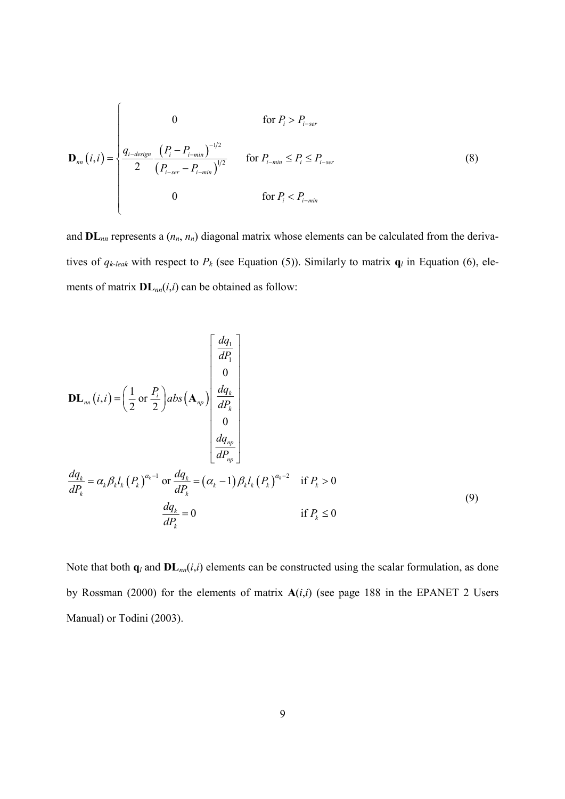$$
\mathbf{D}_{nn}(i,i) = \begin{cases}\n0 & \text{for } P_i > P_{i-ser} \\
\frac{q_{i-design}}{2} \frac{\left(P_i - P_{i-min}\right)^{-1/2}}{\left(P_{i-ser} - P_{i-min}\right)^{1/2}} & \text{for } P_{i-min} \le P_i \le P_{i-ser} \\
0 & \text{for } P_i < P_{i-min}\n\end{cases}
$$
\n(8)

and **DL***nn* represents a (*nn*, *nn*) diagonal matrix whose elements can be calculated from the derivatives of  $q_{k-leak}$  with respect to  $P_k$  (see Equation (5)). Similarly to matrix  $q_l$  in Equation (6), elements of matrix **DL***nn*(*i*,*i*) can be obtained as follow:

$$
\mathbf{DL}_{nn}(i,i) = \left(\frac{1}{2} \text{ or } \frac{P_i}{2}\right) abs\left(\mathbf{A}_{np}\right) \begin{bmatrix} \frac{dq_1}{dP_1} \\ 0 \\ \frac{dq_k}{dP_k} \\ 0 \\ \frac{dq_{np}}{dP_p} \end{bmatrix}
$$
\n
$$
\frac{dq_k}{dP_k} = \alpha_k \beta_k l_k \left(P_k\right)^{\alpha_k - 1} \text{ or } \frac{dq_k}{dP_k} = \left(\alpha_k - 1\right) \beta_k l_k \left(P_k\right)^{\alpha_k - 2} \quad \text{if } P_k > 0
$$
\n
$$
\frac{dq_k}{dP_k} = 0 \qquad \text{if } P_k \le 0
$$
\n(9)

Note that both  $\mathbf{q}_l$  and  $\mathbf{DL}_{nn}(i,i)$  elements can be constructed using the scalar formulation, as done by Rossman (2000) for the elements of matrix **A**(*i*,*i*) (see page 188 in the EPANET 2 Users Manual) or Todini (2003).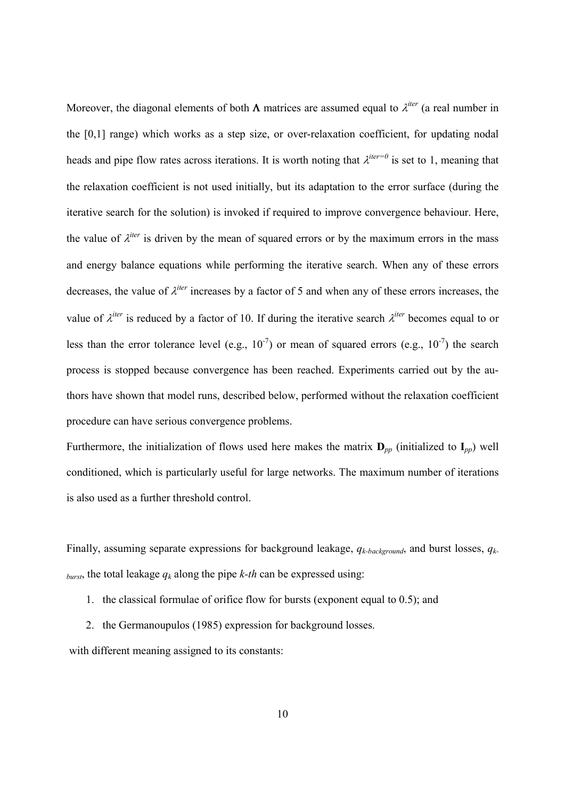Moreover, the diagonal elements of both  $\Lambda$  matrices are assumed equal to  $\lambda^{iter}$  (a real number in the [0,1] range) which works as a step size, or over-relaxation coefficient, for updating nodal heads and pipe flow rates across iterations. It is worth noting that  $\lambda^{iter=0}$  is set to 1, meaning that the relaxation coefficient is not used initially, but its adaptation to the error surface (during the iterative search for the solution) is invoked if required to improve convergence behaviour. Here, the value of  $\lambda$ <sup>*iter*</sup> is driven by the mean of squared errors or by the maximum errors in the mass and energy balance equations while performing the iterative search. When any of these errors decreases, the value of  $\lambda^{iter}$  increases by a factor of 5 and when any of these errors increases, the value of  $\lambda^{iter}$  is reduced by a factor of 10. If during the iterative search  $\lambda^{iter}$  becomes equal to or less than the error tolerance level (e.g.,  $10^{-7}$ ) or mean of squared errors (e.g.,  $10^{-7}$ ) the search process is stopped because convergence has been reached. Experiments carried out by the authors have shown that model runs, described below, performed without the relaxation coefficient procedure can have serious convergence problems.

Furthermore, the initialization of flows used here makes the matrix  $\mathbf{D}_{pp}$  (initialized to  $\mathbf{I}_{pp}$ ) well conditioned, which is particularly useful for large networks. The maximum number of iterations is also used as a further threshold control.

Finally, assuming separate expressions for background leakage, *qk-background*, and burst losses, *qkburst*, the total leakage  $q_k$  along the pipe  $k$ -th can be expressed using:

- 1. the classical formulae of orifice flow for bursts (exponent equal to 0.5); and
- 2. the Germanoupulos (1985) expression for background losses.

with different meaning assigned to its constants: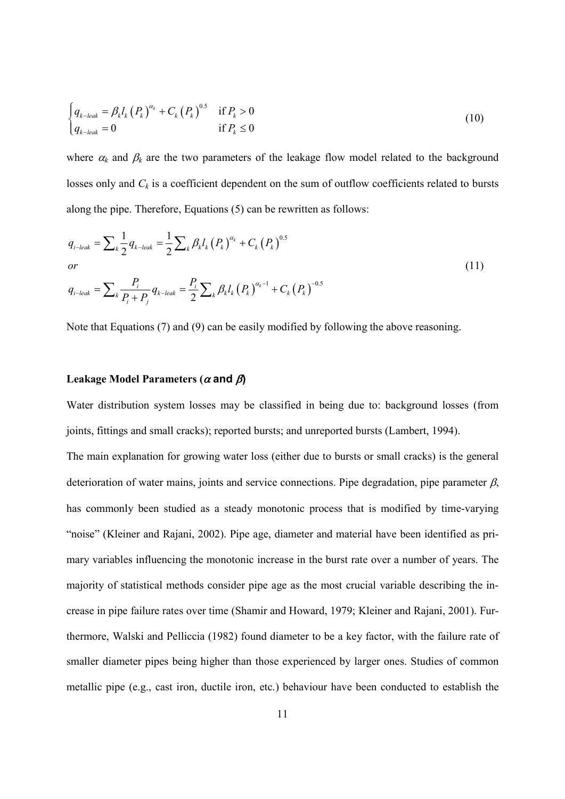$$
\begin{cases}\n q_{k-leak} = \beta_k l_k \left( P_k \right)^{\alpha_k} + C_k \left( P_k \right)^{0.5} & \text{if } P_k > 0 \\
 q_{k-leak} = 0 & \text{if } P_k \le 0\n\end{cases}
$$
\n(10)

where  $\alpha_k$  and  $\beta_k$  are the two parameters of the leakage flow model related to the background losses only and  $C_k$  is a coefficient dependent on the sum of outflow coefficients related to bursts along the pipe. Therefore, Equations (5) can be rewritten as follows:

$$
q_{i-leak} = \sum_{k} \frac{1}{2} q_{k-leak} = \frac{1}{2} \sum_{k} \beta_{k} l_{k} (P_{k})^{\alpha_{k}} + C_{k} (P_{k})^{0.5}
$$
  
or  

$$
q_{i-leak} = \sum_{k} \frac{P_{i}}{P_{i} + P_{j}} q_{k-leak} = \frac{P_{i}}{2} \sum_{k} \beta_{k} l_{k} (P_{k})^{\alpha_{k}-1} + C_{k} (P_{k})^{-0.5}
$$
 (11)

Note that Equations (7) and (9) can be easily modified by following the above reasoning.

#### **Leakage Model Parameters (**α **and** β**)**

Water distribution system losses may be classified in being due to: background losses (from joints, fittings and small cracks); reported bursts; and unreported bursts (Lambert, 1994).

The main explanation for growing water loss (either due to bursts or small cracks) is the general deterioration of water mains, joints and service connections. Pipe degradation, pipe parameter  $\beta$ , has commonly been studied as a steady monotonic process that is modified by time-varying "noise" (Kleiner and Rajani, 2002). Pipe age, diameter and material have been identified as primary variables influencing the monotonic increase in the burst rate over a number of years. The majority of statistical methods consider pipe age as the most crucial variable describing the increase in pipe failure rates over time (Shamir and Howard, 1979; Kleiner and Rajani, 2001). Furthermore, Walski and Pelliccia (1982) found diameter to be a key factor, with the failure rate of smaller diameter pipes being higher than those experienced by larger ones. Studies of common metallic pipe (e.g., cast iron, ductile iron, etc.) behaviour have been conducted to establish the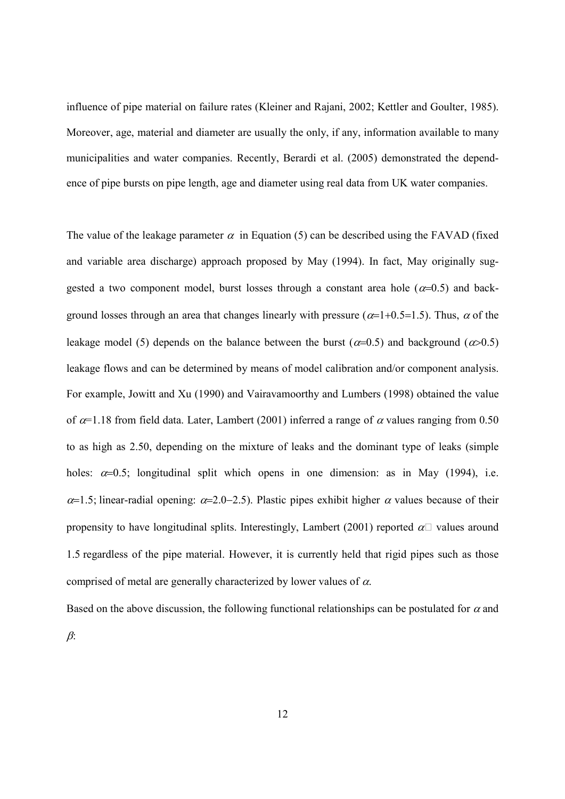influence of pipe material on failure rates (Kleiner and Rajani, 2002; Kettler and Goulter, 1985). Moreover, age, material and diameter are usually the only, if any, information available to many municipalities and water companies. Recently, Berardi et al. (2005) demonstrated the dependence of pipe bursts on pipe length, age and diameter using real data from UK water companies.

The value of the leakage parameter  $\alpha$  in Equation (5) can be described using the FAVAD (fixed and variable area discharge) approach proposed by May (1994). In fact, May originally suggested a two component model, burst losses through a constant area hole ( $\alpha$ =0.5) and background losses through an area that changes linearly with pressure ( $\alpha$ =1+0.5=1.5). Thus,  $\alpha$  of the leakage model (5) depends on the balance between the burst ( $\alpha$ =0.5) and background ( $\alpha$ >0.5) leakage flows and can be determined by means of model calibration and/or component analysis. For example, Jowitt and Xu (1990) and Vairavamoorthy and Lumbers (1998) obtained the value of  $\alpha$ =1.18 from field data. Later, Lambert (2001) inferred a range of  $\alpha$  values ranging from 0.50 to as high as 2.50, depending on the mixture of leaks and the dominant type of leaks (simple holes:  $\alpha=0.5$ ; longitudinal split which opens in one dimension: as in May (1994), i.e.  $\alpha$ =1.5; linear-radial opening:  $\alpha$ =2.0−2.5). Plastic pipes exhibit higher  $\alpha$  values because of their propensity to have longitudinal splits. Interestingly, Lambert (2001) reported  $\alpha$ R values around 1.5 regardless of the pipe material. However, it is currently held that rigid pipes such as those comprised of metal are generally characterized by lower values of  $\alpha$ .

Based on the above discussion, the following functional relationships can be postulated for  $\alpha$  and  $\beta$ :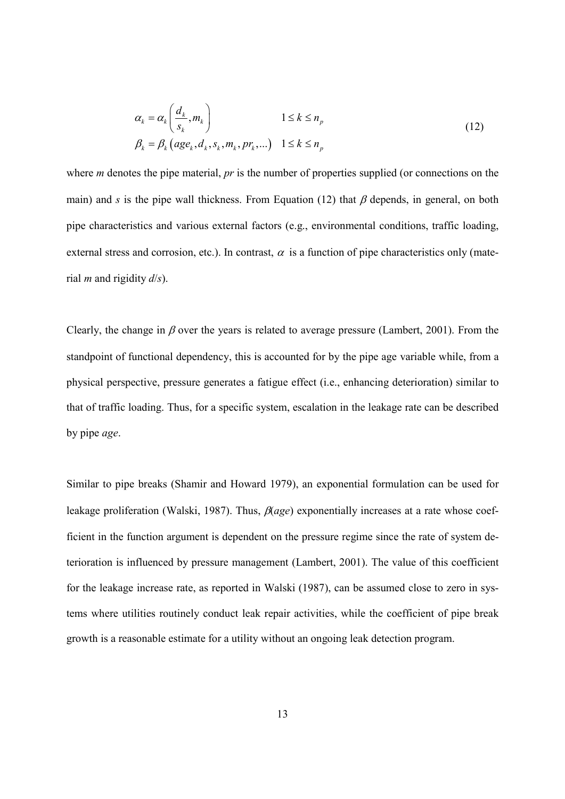$$
\alpha_k = \alpha_k \left( \frac{d_k}{s_k}, m_k \right) \qquad 1 \le k \le n_p
$$
\n
$$
\beta_k = \beta_k \left( \text{age}_k, d_k, s_k, m_k, pr_k, \dots \right) \quad 1 \le k \le n_p
$$
\n
$$
(12)
$$

where *m* denotes the pipe material, *pr* is the number of properties supplied (or connections on the main) and *s* is the pipe wall thickness. From Equation (12) that  $\beta$  depends, in general, on both pipe characteristics and various external factors (e.g., environmental conditions, traffic loading, external stress and corrosion, etc.). In contrast,  $\alpha$  is a function of pipe characteristics only (material *m* and rigidity *d*/*s*).

Clearly, the change in  $\beta$  over the years is related to average pressure (Lambert, 2001). From the standpoint of functional dependency, this is accounted for by the pipe age variable while, from a physical perspective, pressure generates a fatigue effect (i.e., enhancing deterioration) similar to that of traffic loading. Thus, for a specific system, escalation in the leakage rate can be described by pipe *age*.

Similar to pipe breaks (Shamir and Howard 1979), an exponential formulation can be used for leakage proliferation (Walski, 1987). Thus, β(*age*) exponentially increases at a rate whose coefficient in the function argument is dependent on the pressure regime since the rate of system deterioration is influenced by pressure management (Lambert, 2001). The value of this coefficient for the leakage increase rate, as reported in Walski (1987), can be assumed close to zero in systems where utilities routinely conduct leak repair activities, while the coefficient of pipe break growth is a reasonable estimate for a utility without an ongoing leak detection program.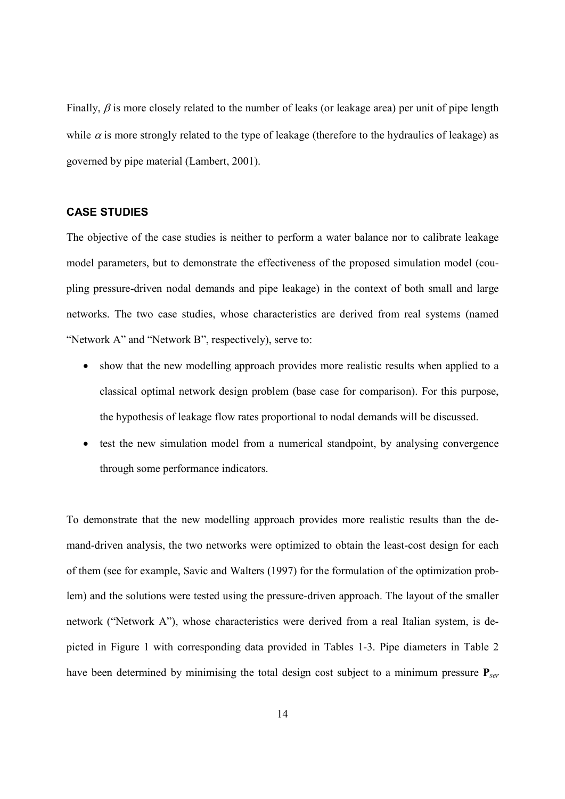Finally,  $\beta$  is more closely related to the number of leaks (or leakage area) per unit of pipe length while  $\alpha$  is more strongly related to the type of leakage (therefore to the hydraulics of leakage) as governed by pipe material (Lambert, 2001).

#### **CASE STUDIES**

The objective of the case studies is neither to perform a water balance nor to calibrate leakage model parameters, but to demonstrate the effectiveness of the proposed simulation model (coupling pressure-driven nodal demands and pipe leakage) in the context of both small and large networks. The two case studies, whose characteristics are derived from real systems (named "Network A" and "Network B", respectively), serve to:

- show that the new modelling approach provides more realistic results when applied to a classical optimal network design problem (base case for comparison). For this purpose, the hypothesis of leakage flow rates proportional to nodal demands will be discussed.
- test the new simulation model from a numerical standpoint, by analysing convergence through some performance indicators.

To demonstrate that the new modelling approach provides more realistic results than the demand-driven analysis, the two networks were optimized to obtain the least-cost design for each of them (see for example, Savic and Walters (1997) for the formulation of the optimization problem) and the solutions were tested using the pressure-driven approach. The layout of the smaller network ("Network A"), whose characteristics were derived from a real Italian system, is depicted in Figure 1 with corresponding data provided in Tables 1-3. Pipe diameters in Table 2 have been determined by minimising the total design cost subject to a minimum pressure **P***ser*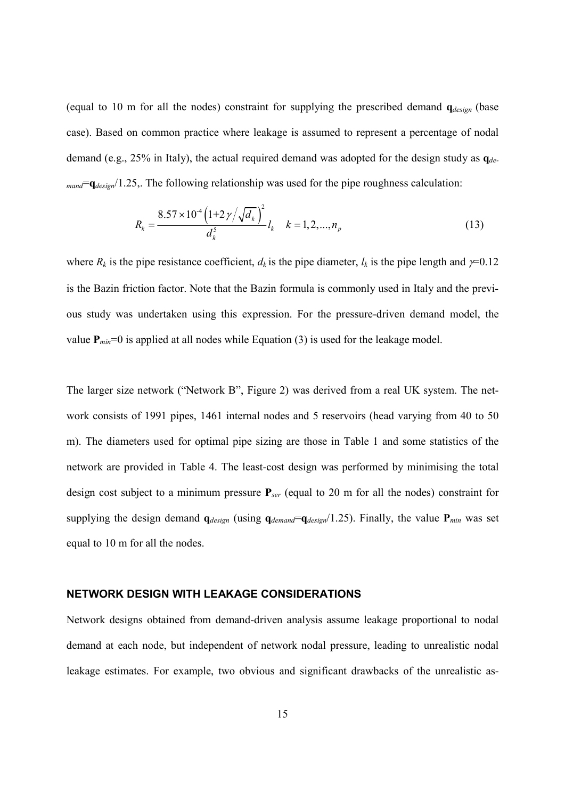(equal to 10 m for all the nodes) constraint for supplying the prescribed demand **q***design* (base case). Based on common practice where leakage is assumed to represent a percentage of nodal demand (e.g., 25% in Italy), the actual required demand was adopted for the design study as **q***demand*=**q***design*/1.25,. The following relationship was used for the pipe roughness calculation:

$$
R_k = \frac{8.57 \times 10^4 \left(1 + 2 \gamma / \sqrt{d_k}\right)^2}{d_k^5} l_k \quad k = 1, 2, ..., n_p
$$
\n(13)

where  $R_k$  is the pipe resistance coefficient,  $d_k$  is the pipe diameter,  $l_k$  is the pipe length and  $\gamma$ =0.12 is the Bazin friction factor. Note that the Bazin formula is commonly used in Italy and the previous study was undertaken using this expression. For the pressure-driven demand model, the value  $P_{min}=0$  is applied at all nodes while Equation (3) is used for the leakage model.

The larger size network ("Network B", Figure 2) was derived from a real UK system. The network consists of 1991 pipes, 1461 internal nodes and 5 reservoirs (head varying from 40 to 50 m). The diameters used for optimal pipe sizing are those in Table 1 and some statistics of the network are provided in Table 4. The least-cost design was performed by minimising the total design cost subject to a minimum pressure **P***ser* (equal to 20 m for all the nodes) constraint for supplying the design demand  $q_{design}$  (using  $q_{demand}=q_{design}/1.25$ ). Finally, the value  $P_{min}$  was set equal to 10 m for all the nodes.

#### **NETWORK DESIGN WITH LEAKAGE CONSIDERATIONS**

Network designs obtained from demand-driven analysis assume leakage proportional to nodal demand at each node, but independent of network nodal pressure, leading to unrealistic nodal leakage estimates. For example, two obvious and significant drawbacks of the unrealistic as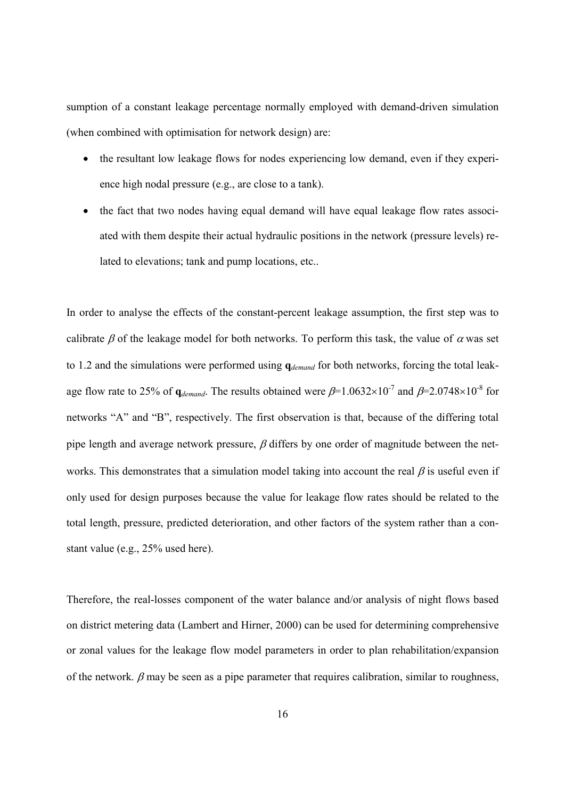sumption of a constant leakage percentage normally employed with demand-driven simulation (when combined with optimisation for network design) are:

- the resultant low leakage flows for nodes experiencing low demand, even if they experience high nodal pressure (e.g., are close to a tank).
- the fact that two nodes having equal demand will have equal leakage flow rates associated with them despite their actual hydraulic positions in the network (pressure levels) related to elevations; tank and pump locations, etc..

In order to analyse the effects of the constant-percent leakage assumption, the first step was to calibrate  $\beta$  of the leakage model for both networks. To perform this task, the value of  $\alpha$  was set to 1.2 and the simulations were performed using **q***demand* for both networks, forcing the total leakage flow rate to 25% of  $q_{demand}$ . The results obtained were  $\beta$ =1.0632×10<sup>-7</sup> and  $\beta$ =2.0748×10<sup>-8</sup> for networks "A" and "B", respectively. The first observation is that, because of the differing total pipe length and average network pressure,  $\beta$  differs by one order of magnitude between the networks. This demonstrates that a simulation model taking into account the real  $\beta$  is useful even if only used for design purposes because the value for leakage flow rates should be related to the total length, pressure, predicted deterioration, and other factors of the system rather than a constant value (e.g., 25% used here).

Therefore, the real-losses component of the water balance and/or analysis of night flows based on district metering data (Lambert and Hirner, 2000) can be used for determining comprehensive or zonal values for the leakage flow model parameters in order to plan rehabilitation/expansion of the network.  $\beta$  may be seen as a pipe parameter that requires calibration, similar to roughness,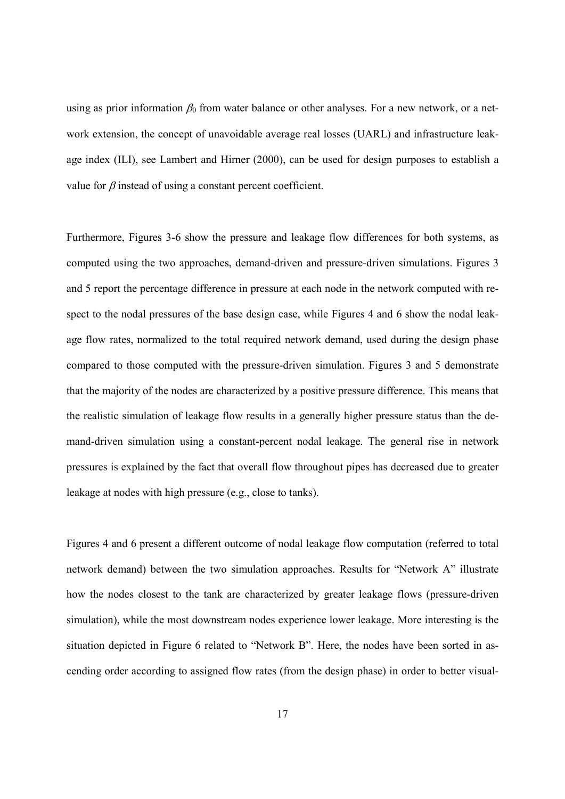using as prior information  $\beta_0$  from water balance or other analyses. For a new network, or a network extension, the concept of unavoidable average real losses (UARL) and infrastructure leakage index (ILI), see Lambert and Hirner (2000), can be used for design purposes to establish a value for  $\beta$  instead of using a constant percent coefficient.

Furthermore, Figures 3-6 show the pressure and leakage flow differences for both systems, as computed using the two approaches, demand-driven and pressure-driven simulations. Figures 3 and 5 report the percentage difference in pressure at each node in the network computed with respect to the nodal pressures of the base design case, while Figures 4 and 6 show the nodal leakage flow rates, normalized to the total required network demand, used during the design phase compared to those computed with the pressure-driven simulation. Figures 3 and 5 demonstrate that the majority of the nodes are characterized by a positive pressure difference. This means that the realistic simulation of leakage flow results in a generally higher pressure status than the demand-driven simulation using a constant-percent nodal leakage. The general rise in network pressures is explained by the fact that overall flow throughout pipes has decreased due to greater leakage at nodes with high pressure (e.g., close to tanks).

Figures 4 and 6 present a different outcome of nodal leakage flow computation (referred to total network demand) between the two simulation approaches. Results for "Network A" illustrate how the nodes closest to the tank are characterized by greater leakage flows (pressure-driven simulation), while the most downstream nodes experience lower leakage. More interesting is the situation depicted in Figure 6 related to "Network B". Here, the nodes have been sorted in ascending order according to assigned flow rates (from the design phase) in order to better visual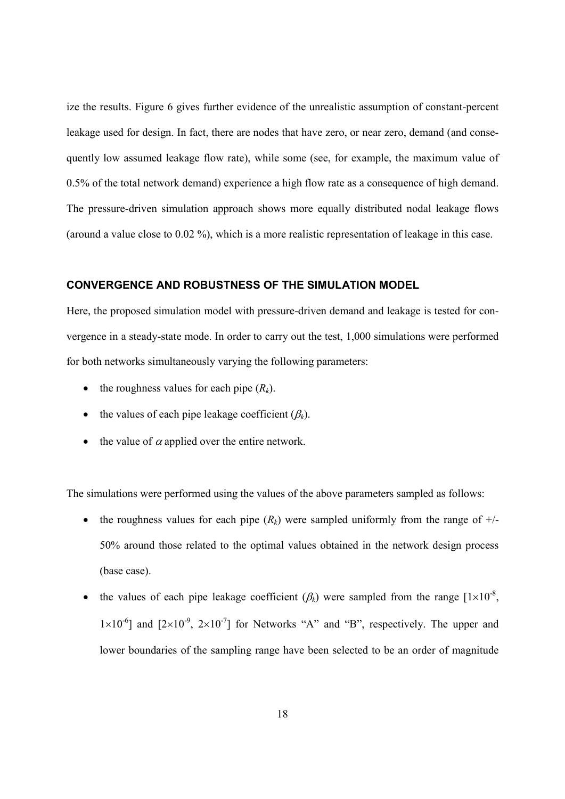ize the results. Figure 6 gives further evidence of the unrealistic assumption of constant-percent leakage used for design. In fact, there are nodes that have zero, or near zero, demand (and consequently low assumed leakage flow rate), while some (see, for example, the maximum value of 0.5% of the total network demand) experience a high flow rate as a consequence of high demand. The pressure-driven simulation approach shows more equally distributed nodal leakage flows (around a value close to 0.02 %), which is a more realistic representation of leakage in this case.

# **CONVERGENCE AND ROBUSTNESS OF THE SIMULATION MODEL**

Here, the proposed simulation model with pressure-driven demand and leakage is tested for convergence in a steady-state mode. In order to carry out the test, 1,000 simulations were performed for both networks simultaneously varying the following parameters:

- the roughness values for each pipe  $(R_k)$ .
- the values of each pipe leakage coefficient  $(\beta_k)$ .
- the value of  $\alpha$  applied over the entire network.

The simulations were performed using the values of the above parameters sampled as follows:

- the roughness values for each pipe  $(R_k)$  were sampled uniformly from the range of  $+/-$ 50% around those related to the optimal values obtained in the network design process (base case).
- the values of each pipe leakage coefficient  $(\beta_k)$  were sampled from the range  $[1 \times 10^{-8}]$ ,  $1\times10^{-6}$ ] and  $[2\times10^{-9}, 2\times10^{-7}]$  for Networks "A" and "B", respectively. The upper and lower boundaries of the sampling range have been selected to be an order of magnitude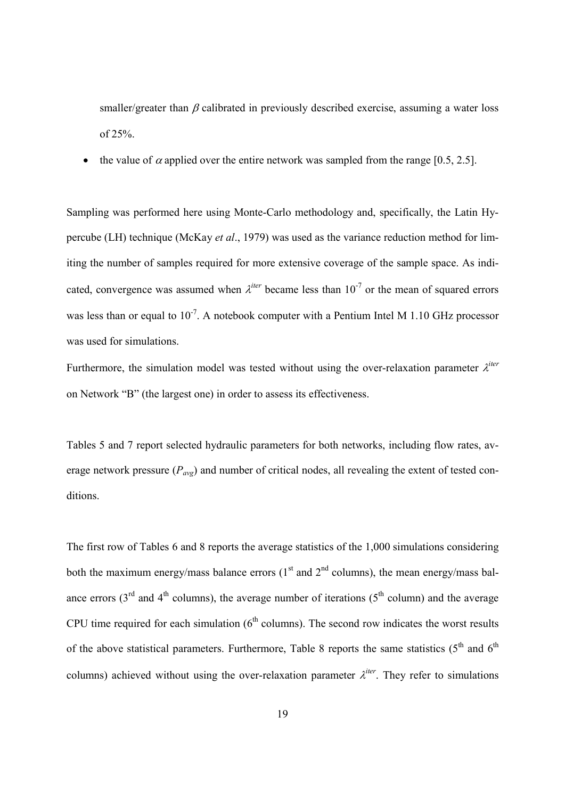smaller/greater than  $\beta$  calibrated in previously described exercise, assuming a water loss of 25%.

• the value of  $\alpha$  applied over the entire network was sampled from the range [0.5, 2.5].

Sampling was performed here using Monte-Carlo methodology and, specifically, the Latin Hypercube (LH) technique (McKay *et al*., 1979) was used as the variance reduction method for limiting the number of samples required for more extensive coverage of the sample space. As indicated, convergence was assumed when  $\lambda^{iter}$  became less than  $10^{-7}$  or the mean of squared errors was less than or equal to  $10^{-7}$ . A notebook computer with a Pentium Intel M 1.10 GHz processor was used for simulations.

Furthermore, the simulation model was tested without using the over-relaxation parameter  $\lambda^{iter}$ on Network "B" (the largest one) in order to assess its effectiveness.

Tables 5 and 7 report selected hydraulic parameters for both networks, including flow rates, average network pressure (*Pavg*) and number of critical nodes, all revealing the extent of tested conditions.

The first row of Tables 6 and 8 reports the average statistics of the 1,000 simulations considering both the maximum energy/mass balance errors  $(1<sup>st</sup>$  and  $2<sup>nd</sup>$  columns), the mean energy/mass balance errors ( $3<sup>rd</sup>$  and  $4<sup>th</sup>$  columns), the average number of iterations ( $5<sup>th</sup>$  column) and the average CPU time required for each simulation  $(6<sup>th</sup>$  columns). The second row indicates the worst results of the above statistical parameters. Furthermore, Table 8 reports the same statistics ( $5<sup>th</sup>$  and  $6<sup>th</sup>$ ) columns) achieved without using the over-relaxation parameter  $\lambda^{iter}$ . They refer to simulations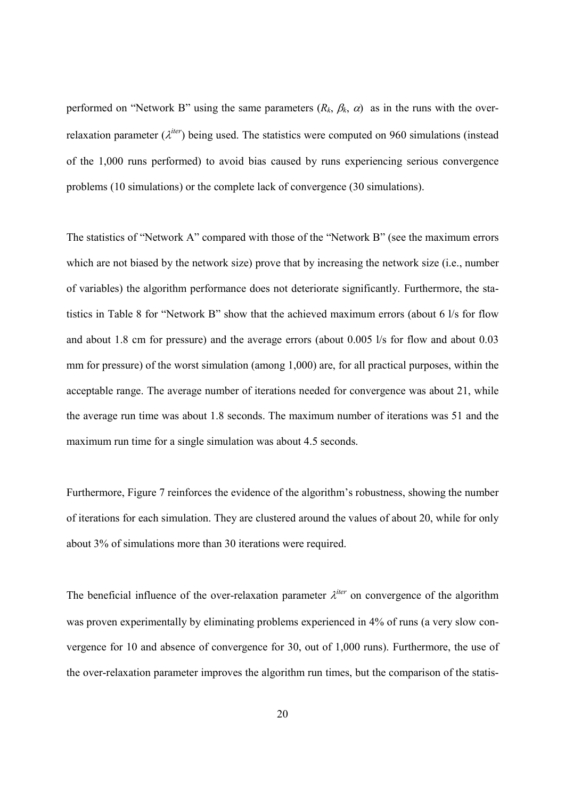performed on "Network B" using the same parameters  $(R_k, \beta_k, \alpha)$  as in the runs with the overrelaxation parameter  $(\lambda^{iter})$  being used. The statistics were computed on 960 simulations (instead of the 1,000 runs performed) to avoid bias caused by runs experiencing serious convergence problems (10 simulations) or the complete lack of convergence (30 simulations).

The statistics of "Network A" compared with those of the "Network B" (see the maximum errors which are not biased by the network size) prove that by increasing the network size (i.e., number of variables) the algorithm performance does not deteriorate significantly. Furthermore, the statistics in Table 8 for "Network B" show that the achieved maximum errors (about 6 l/s for flow and about 1.8 cm for pressure) and the average errors (about 0.005 l/s for flow and about 0.03 mm for pressure) of the worst simulation (among 1,000) are, for all practical purposes, within the acceptable range. The average number of iterations needed for convergence was about 21, while the average run time was about 1.8 seconds. The maximum number of iterations was 51 and the maximum run time for a single simulation was about 4.5 seconds.

Furthermore, Figure 7 reinforces the evidence of the algorithm's robustness, showing the number of iterations for each simulation. They are clustered around the values of about 20, while for only about 3% of simulations more than 30 iterations were required.

The beneficial influence of the over-relaxation parameter  $\lambda^{iter}$  on convergence of the algorithm was proven experimentally by eliminating problems experienced in 4% of runs (a very slow convergence for 10 and absence of convergence for 30, out of 1,000 runs). Furthermore, the use of the over-relaxation parameter improves the algorithm run times, but the comparison of the statis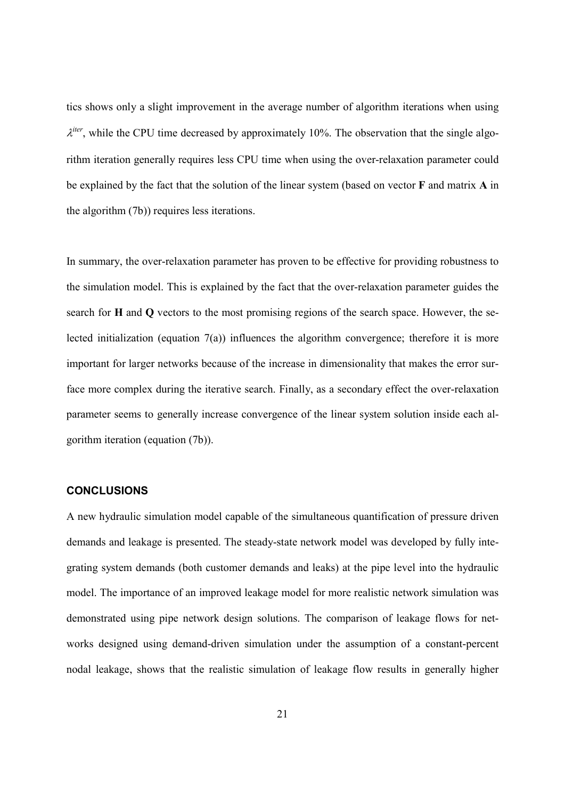tics shows only a slight improvement in the average number of algorithm iterations when using  $\lambda^{iter}$ , while the CPU time decreased by approximately 10%. The observation that the single algorithm iteration generally requires less CPU time when using the over-relaxation parameter could be explained by the fact that the solution of the linear system (based on vector **F** and matrix **A** in the algorithm (7b)) requires less iterations.

In summary, the over-relaxation parameter has proven to be effective for providing robustness to the simulation model. This is explained by the fact that the over-relaxation parameter guides the search for **H** and **Q** vectors to the most promising regions of the search space. However, the selected initialization (equation 7(a)) influences the algorithm convergence; therefore it is more important for larger networks because of the increase in dimensionality that makes the error surface more complex during the iterative search. Finally, as a secondary effect the over-relaxation parameter seems to generally increase convergence of the linear system solution inside each algorithm iteration (equation (7b)).

#### **CONCLUSIONS**

A new hydraulic simulation model capable of the simultaneous quantification of pressure driven demands and leakage is presented. The steady-state network model was developed by fully integrating system demands (both customer demands and leaks) at the pipe level into the hydraulic model. The importance of an improved leakage model for more realistic network simulation was demonstrated using pipe network design solutions. The comparison of leakage flows for networks designed using demand-driven simulation under the assumption of a constant-percent nodal leakage, shows that the realistic simulation of leakage flow results in generally higher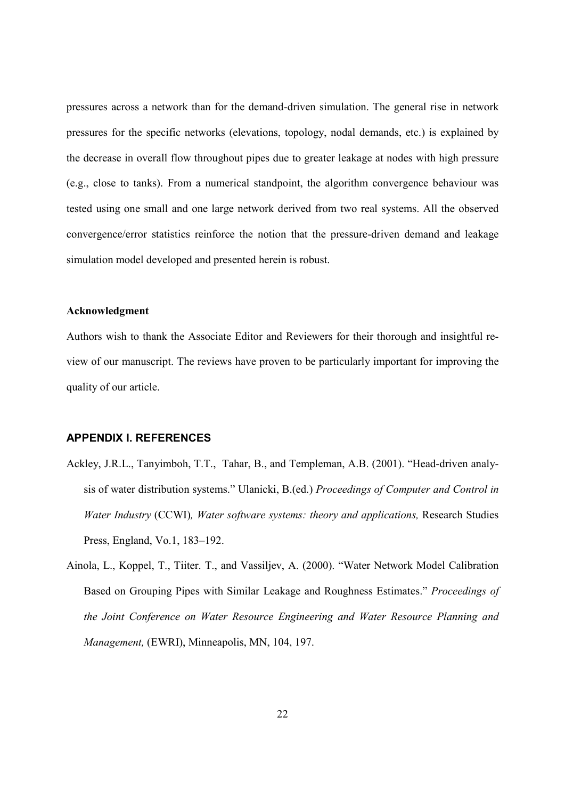pressures across a network than for the demand-driven simulation. The general rise in network pressures for the specific networks (elevations, topology, nodal demands, etc.) is explained by the decrease in overall flow throughout pipes due to greater leakage at nodes with high pressure (e.g., close to tanks). From a numerical standpoint, the algorithm convergence behaviour was tested using one small and one large network derived from two real systems. All the observed convergence/error statistics reinforce the notion that the pressure-driven demand and leakage simulation model developed and presented herein is robust.

#### **Acknowledgment**

Authors wish to thank the Associate Editor and Reviewers for their thorough and insightful review of our manuscript. The reviews have proven to be particularly important for improving the quality of our article.

#### **APPENDIX I. REFERENCES**

- Ackley, J.R.L., Tanyimboh, T.T., Tahar, B., and Templeman, A.B. (2001). "Head-driven analysis of water distribution systems." Ulanicki, B.(ed.) *Proceedings of Computer and Control in Water Industry* (CCWI)*, Water software systems: theory and applications,* Research Studies Press, England, Vo.1, 183–192.
- Ainola, L., Koppel, T., Tiiter. T., and Vassiljev, A. (2000). "Water Network Model Calibration Based on Grouping Pipes with Similar Leakage and Roughness Estimates." *Proceedings of the Joint Conference on Water Resource Engineering and Water Resource Planning and Management,* (EWRI), Minneapolis, MN, 104, 197.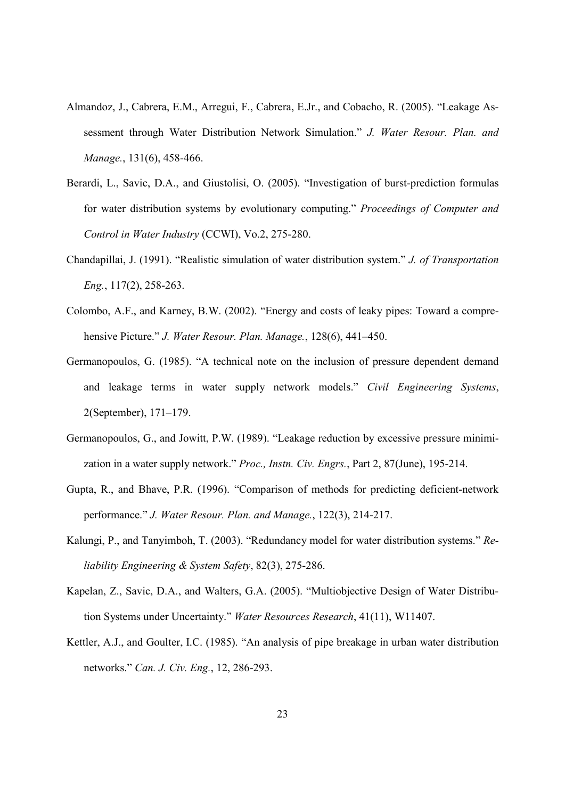- Almandoz, J., Cabrera, E.M., Arregui, F., Cabrera, E.Jr., and Cobacho, R. (2005). "Leakage Assessment through Water Distribution Network Simulation." *J. Water Resour. Plan. and Manage.*, 131(6), 458-466.
- Berardi, L., Savic, D.A., and Giustolisi, O. (2005). "Investigation of burst-prediction formulas for water distribution systems by evolutionary computing." *Proceedings of Computer and Control in Water Industry* (CCWI), Vo.2, 275-280.
- Chandapillai, J. (1991). "Realistic simulation of water distribution system." *J. of Transportation Eng.*, 117(2), 258-263.
- Colombo, A.F., and Karney, B.W. (2002). "Energy and costs of leaky pipes: Toward a comprehensive Picture." *J. Water Resour. Plan. Manage.*, 128(6), 441–450.
- Germanopoulos, G. (1985). "A technical note on the inclusion of pressure dependent demand and leakage terms in water supply network models." *Civil Engineering Systems*, 2(September), 171–179.
- Germanopoulos, G., and Jowitt, P.W. (1989). "Leakage reduction by excessive pressure minimization in a water supply network." *Proc., Instn. Civ. Engrs.*, Part 2, 87(June), 195-214.
- Gupta, R., and Bhave, P.R. (1996). "Comparison of methods for predicting deficient-network performance." *J. Water Resour. Plan. and Manage.*, 122(3), 214-217.
- Kalungi, P., and Tanyimboh, T. (2003). "Redundancy model for water distribution systems." *Reliability Engineering & System Safety*, 82(3), 275-286.
- Kapelan, Z., Savic, D.A., and Walters, G.A. (2005). "Multiobjective Design of Water Distribution Systems under Uncertainty." *Water Resources Research*, 41(11), W11407.
- Kettler, A.J., and Goulter, I.C. (1985). "An analysis of pipe breakage in urban water distribution networks." *Can. J. Civ. Eng.*, 12, 286-293.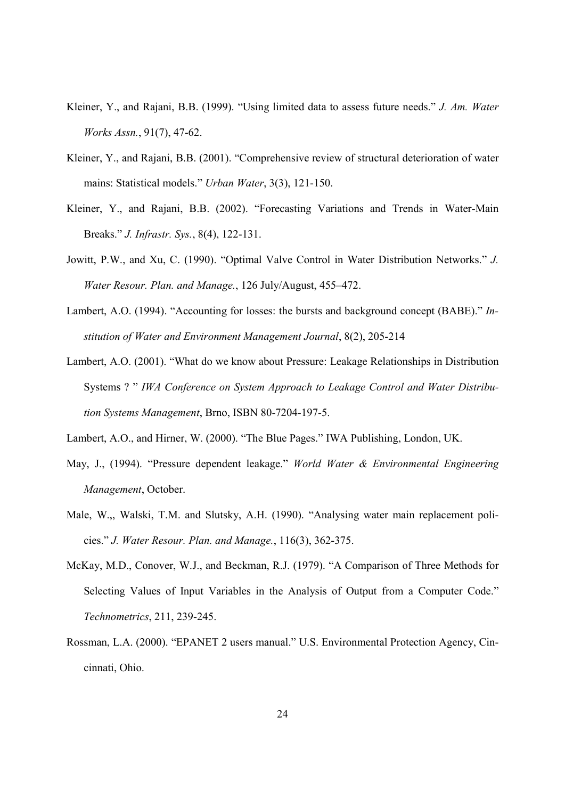- Kleiner, Y., and Rajani, B.B. (1999). "Using limited data to assess future needs." *J. Am. Water Works Assn.*, 91(7), 47-62.
- Kleiner, Y., and Rajani, B.B. (2001). "Comprehensive review of structural deterioration of water mains: Statistical models." *Urban Water*, 3(3), 121-150.
- Kleiner, Y., and Rajani, B.B. (2002). "Forecasting Variations and Trends in Water-Main Breaks." *J. Infrastr. Sys.*, 8(4), 122-131.
- Jowitt, P.W., and Xu, C. (1990). "Optimal Valve Control in Water Distribution Networks." *J. Water Resour. Plan. and Manage.*, 126 July/August, 455–472.
- Lambert, A.O. (1994). "Accounting for losses: the bursts and background concept (BABE)." *Institution of Water and Environment Management Journal*, 8(2), 205-214
- Lambert, A.O. (2001). "What do we know about Pressure: Leakage Relationships in Distribution Systems ? " *IWA Conference on System Approach to Leakage Control and Water Distribution Systems Management*, Brno, ISBN 80-7204-197-5.
- Lambert, A.O., and Hirner, W. (2000). "The Blue Pages." IWA Publishing, London, UK.
- May, J., (1994). "Pressure dependent leakage." *World Water & Environmental Engineering Management*, October.
- Male, W.,, Walski, T.M. and Slutsky, A.H. (1990). "Analysing water main replacement policies." *J. Water Resour. Plan. and Manage.*, 116(3), 362-375.
- McKay, M.D., Conover, W.J., and Beckman, R.J. (1979). "A Comparison of Three Methods for Selecting Values of Input Variables in the Analysis of Output from a Computer Code." *Technometrics*, 211, 239-245.
- Rossman, L.A. (2000). "EPANET 2 users manual." U.S. Environmental Protection Agency, Cincinnati, Ohio.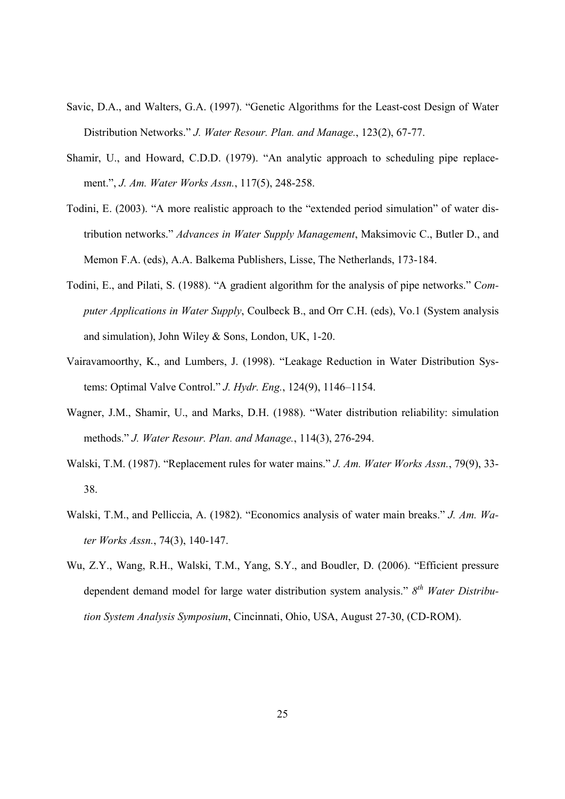- Savic, D.A., and Walters, G.A. (1997). "Genetic Algorithms for the Least-cost Design of Water Distribution Networks." *J. Water Resour. Plan. and Manage.*, 123(2), 67-77.
- Shamir, U., and Howard, C.D.D. (1979). "An analytic approach to scheduling pipe replacement.", *J. Am. Water Works Assn.*, 117(5), 248-258.
- Todini, E. (2003). "A more realistic approach to the "extended period simulation" of water distribution networks." *Advances in Water Supply Management*, Maksimovic C., Butler D., and Memon F.A. (eds), A.A. Balkema Publishers, Lisse, The Netherlands, 173-184.
- Todini, E., and Pilati, S. (1988). "A gradient algorithm for the analysis of pipe networks." C*omputer Applications in Water Supply*, Coulbeck B., and Orr C.H. (eds), Vo.1 (System analysis and simulation), John Wiley & Sons, London, UK, 1-20.
- Vairavamoorthy, K., and Lumbers, J. (1998). "Leakage Reduction in Water Distribution Systems: Optimal Valve Control." *J. Hydr. Eng.*, 124(9), 1146–1154.
- Wagner, J.M., Shamir, U., and Marks, D.H. (1988). "Water distribution reliability: simulation methods." *J. Water Resour. Plan. and Manage.*, 114(3), 276-294.
- Walski, T.M. (1987). "Replacement rules for water mains." *J. Am. Water Works Assn.*, 79(9), 33- 38.
- Walski, T.M., and Pelliccia, A. (1982). "Economics analysis of water main breaks." *J. Am. Water Works Assn.*, 74(3), 140-147.
- Wu, Z.Y., Wang, R.H., Walski, T.M., Yang, S.Y., and Boudler, D. (2006). "Efficient pressure dependent demand model for large water distribution system analysis." *8 th Water Distribution System Analysis Symposium*, Cincinnati, Ohio, USA, August 27-30, (CD-ROM).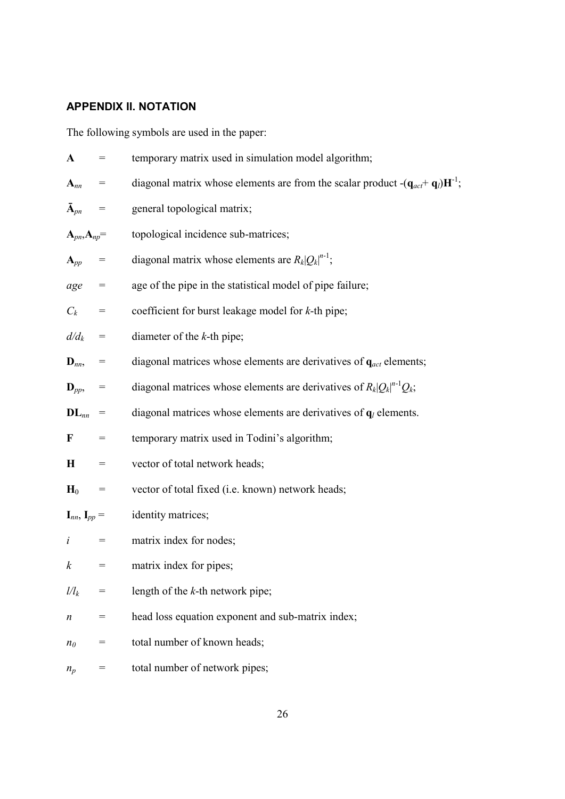# **APPENDIX II. NOTATION**

The following symbols are used in the paper:

| ${\bf A}$                            | $=$       | temporary matrix used in simulation model algorithm;                                                             |
|--------------------------------------|-----------|------------------------------------------------------------------------------------------------------------------|
| ${\bf A}_{nn}$                       | $=$       | diagonal matrix whose elements are from the scalar product $-(\mathbf{q}_{act} + \mathbf{q}_l)\mathbf{H}^{-1}$ ; |
| $\bar{\mathbf{A}}_{pn}$ =            |           | general topological matrix;                                                                                      |
| $A_{pn}, A_{np} =$                   |           | topological incidence sub-matrices;                                                                              |
| $A_{pp}$ =                           |           | diagonal matrix whose elements are $R_k Q_k ^{n-1}$ ;                                                            |
| $age =$                              |           | age of the pipe in the statistical model of pipe failure;                                                        |
| $C_k$ =                              |           | coefficient for burst leakage model for $k$ -th pipe;                                                            |
| $d/d_k$ =                            |           | diameter of the $k$ -th pipe;                                                                                    |
| $\mathbf{D}_{nn}$ , =                |           | diagonal matrices whose elements are derivatives of $q_{act}$ elements;                                          |
| $\mathbf{D}_{pp}$ , =                |           | diagonal matrices whose elements are derivatives of $R_k Q_k ^{n-1}Q_k$ ;                                        |
| $\mathbf{DL}_{nn}$                   | $=$       | diagonal matrices whose elements are derivatives of $q_l$ elements.                                              |
| F                                    | $=$       | temporary matrix used in Todini's algorithm;                                                                     |
| H                                    | $=$       | vector of total network heads;                                                                                   |
| $H_0$                                | $=$       | vector of total fixed (i.e. known) network heads;                                                                |
| $\mathbf{I}_{nn}, \mathbf{I}_{pp} =$ |           | identity matrices;                                                                                               |
| i                                    | $\, = \,$ | matrix index for nodes;                                                                                          |
| $\boldsymbol{k}$                     | $=$       | matrix index for pipes;                                                                                          |
| $\mathcal{U}_k$                      | =         | length of the $k$ -th network pipe;                                                                              |
| n                                    | $=$       | head loss equation exponent and sub-matrix index;                                                                |
| n <sub>0</sub>                       | $=$       | total number of known heads;                                                                                     |
| $n_p$                                | $=$       | total number of network pipes;                                                                                   |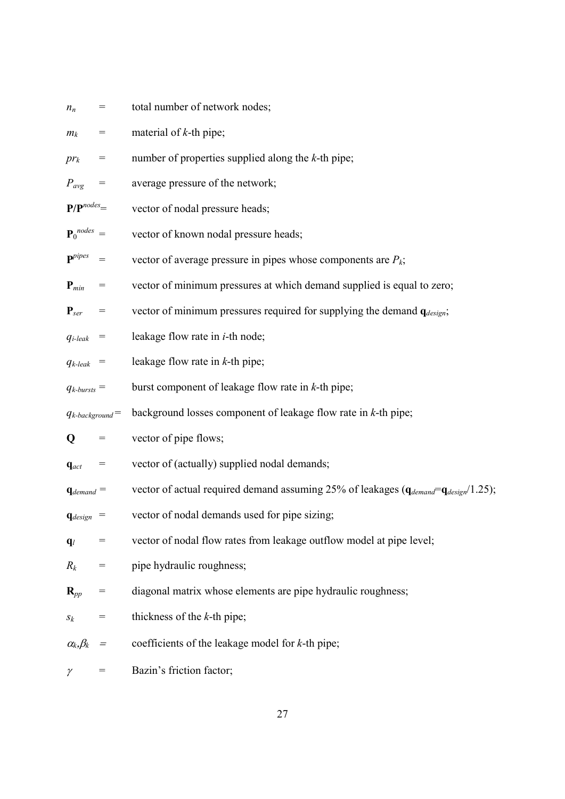| $=$                               | total number of network nodes;                                                               |
|-----------------------------------|----------------------------------------------------------------------------------------------|
| $=$                               | material of $k$ -th pipe;                                                                    |
| $=$                               | number of properties supplied along the $k$ -th pipe;                                        |
| $=$                               | average pressure of the network;                                                             |
| $P/P^{nodes}$ =                   | vector of nodal pressure heads;                                                              |
| ${\bf P}_0^{nodes} =$             | vector of known nodal pressure heads;                                                        |
| $\qquad \qquad =$                 | vector of average pressure in pipes whose components are $P_k$ ;                             |
| $\hspace{1.6cm} = \hspace{1.6cm}$ | vector of minimum pressures at which demand supplied is equal to zero;                       |
| $=$                               | vector of minimum pressures required for supplying the demand $q_{design}$ ;                 |
| $=$                               | leakage flow rate in <i>i</i> -th node;                                                      |
| $=$                               | leakage flow rate in $k$ -th pipe;                                                           |
| $q_{k-bursts} =$                  | burst component of leakage flow rate in $k$ -th pipe;                                        |
| $q_{k\text{-}background}$         | background losses component of leakage flow rate in $k$ -th pipe;                            |
| $=$                               | vector of pipe flows;                                                                        |
| $=$                               |                                                                                              |
|                                   | vector of (actually) supplied nodal demands;                                                 |
| $\mathbf{q}_{demand} =$           | vector of actual required demand assuming 25% of leakages $(q_{demand} = q_{design}/1.25)$ ; |
| $\mathbf{q}_{design}$ =           | vector of nodal demands used for pipe sizing;                                                |
|                                   | vector of nodal flow rates from leakage outflow model at pipe level;                         |
| $=$                               | pipe hydraulic roughness;                                                                    |
| $=$                               | diagonal matrix whose elements are pipe hydraulic roughness;                                 |
| =                                 | thickness of the $k$ -th pipe;                                                               |
| $=$                               | coefficients of the leakage model for $k$ -th pipe;                                          |
|                                   |                                                                                              |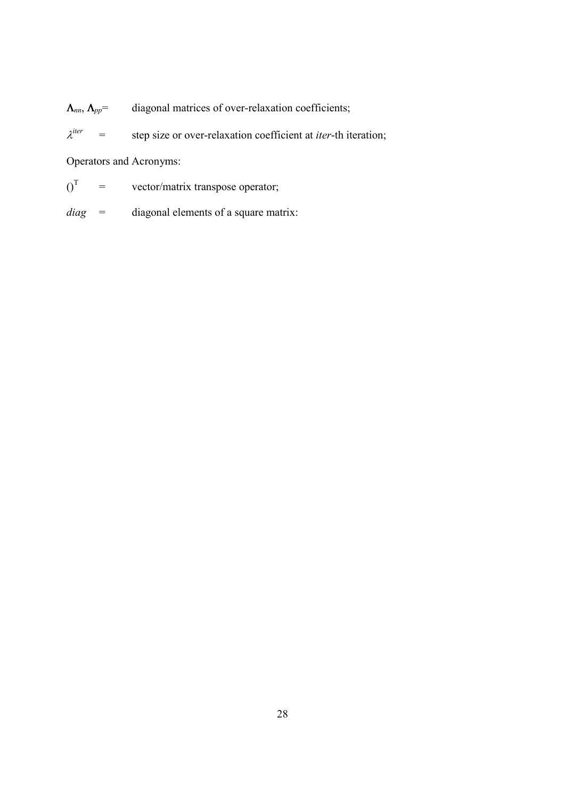Λ*nn*, Λ*pp*= diagonal matrices of over-relaxation coefficients;

 $\lambda^{iter}$ = step size or over-relaxation coefficient at *iter*-th iteration;

Operators and Acronyms:

 $0^{\text{T}}$ = vector/matrix transpose operator;

*diag* = diagonal elements of a square matrix: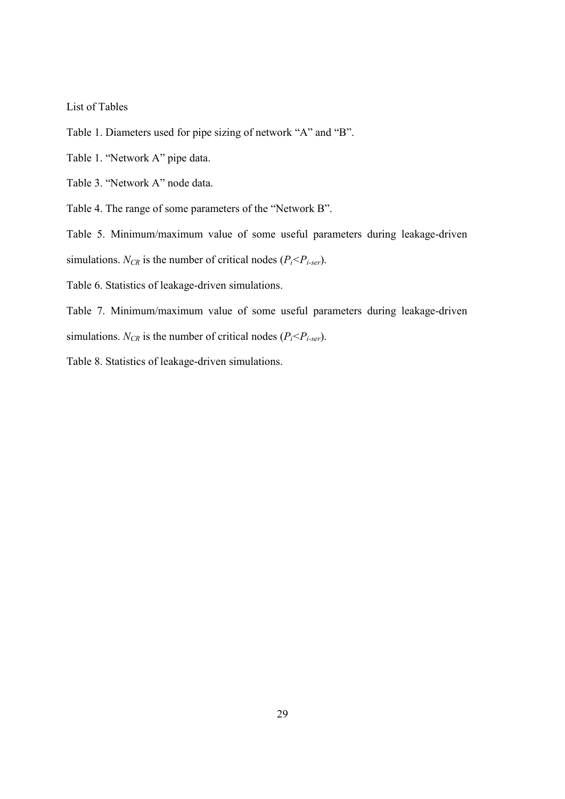List of Tables

Table 1. Diameters used for pipe sizing of network "A" and "B".

Table 1. "Network A" pipe data.

Table 3. "Network A" node data.

Table 4. The range of some parameters of the "Network B".

Table 5. Minimum/maximum value of some useful parameters during leakage-driven

simulations.  $N_{CR}$  is the number of critical nodes  $(P_i < P_{i\text{-}ser})$ .

Table 6. Statistics of leakage-driven simulations.

Table 7. Minimum/maximum value of some useful parameters during leakage-driven simulations.  $N_{CR}$  is the number of critical nodes  $(P_i < P_i < P_i<sub>ser</sub>)$ .

Table 8. Statistics of leakage-driven simulations.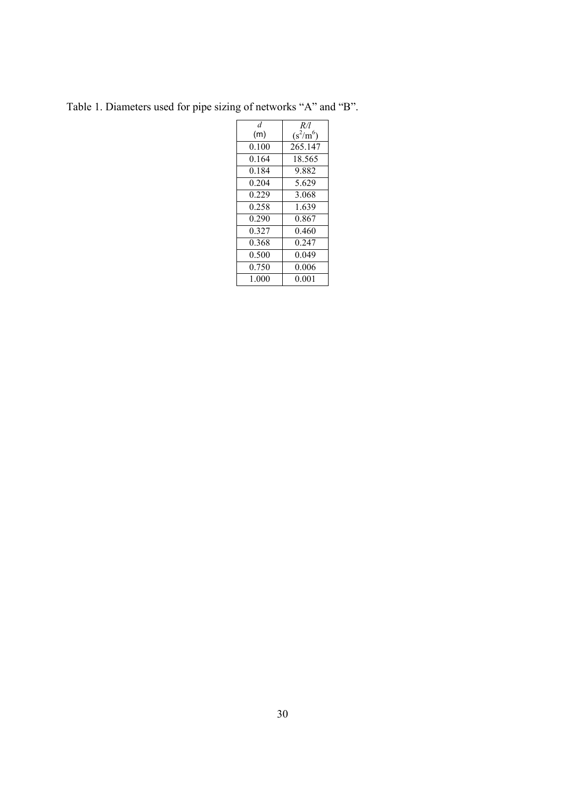Table 1. Diameters used for pipe sizing of networks "A" and "B".

| d     | R/l         |
|-------|-------------|
| (m)   | $(s^2/m^6)$ |
| 0.100 | 265.147     |
| 0.164 | 18.565      |
| 0.184 | 9.882       |
| 0 204 | 5.629       |
| 0.229 | 3.068       |
| 0.258 | 1.639       |
| 0.290 | 0.867       |
| 0.327 | 0.460       |
| 0.368 | 0.247       |
| 0.500 | 0.049       |
| 0.750 | 0.006       |
| 1.000 | 0.001       |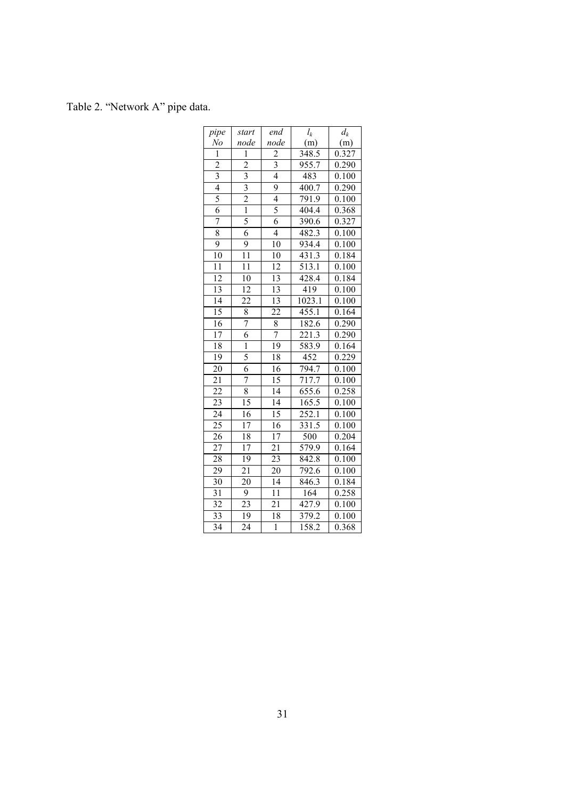Table 2. "Network A" pipe data.

| pipe            | start                   | end                     | $l_k$              | $d_k$              |
|-----------------|-------------------------|-------------------------|--------------------|--------------------|
| N <sub>o</sub>  | node                    | node                    | (m)                | (m)                |
| ī               | $\mathbf{1}$            | $\overline{2}$          | 348.5              | $\overline{0.327}$ |
| $\overline{2}$  | $\overline{2}$          | $\overline{\mathbf{3}}$ | $9\overline{55.7}$ | 0.290              |
| $\overline{3}$  | $\overline{3}$          | $\overline{4}$          | 483                | 0.100              |
| $\overline{4}$  | $\overline{\mathbf{3}}$ | 9                       | 400.7              | 0.290              |
| $\overline{5}$  | $\overline{2}$          | $\overline{4}$          | 791.9              | 0.100              |
| $\overline{6}$  | $\overline{1}$          | 5                       | 404.4              | 0.368              |
| 7               | 5                       | $\overline{6}$          | 390.6              | 0.327              |
| 8               | 6                       | $\overline{4}$          | 482.3              | 0.100              |
| $\overline{9}$  | $\overline{9}$          | $1\overline{0}$         | 934.4              | 0.100              |
| $\overline{10}$ | $\overline{11}$         | 10                      | 431.3              | 0.184              |
| 11              | 11                      | $\overline{12}$         | 513.1              | 0.100              |
| $\overline{12}$ | $\overline{10}$         | $\overline{13}$         | 428.4              | 0.184              |
| $\overline{13}$ | $\overline{12}$         | $\overline{13}$         | 419                | 0.100              |
| $\overline{14}$ | $\overline{22}$         | $\overline{13}$         | 1023.1             | 0.100              |
| $\overline{15}$ | $\overline{8}$          | $\overline{22}$         | 455.1              | 0.164              |
| 16              | 7                       | 8                       | 182.6              | 0.290              |
| $\overline{17}$ | $\overline{6}$          | 7                       | $\overline{221.3}$ | 0.290              |
| 18              | Ī                       | 19                      | 583.9              | 0.164              |
| 19              | 5                       | 18                      | 452                | 0.229              |
| $\overline{20}$ | $\overline{6}$          | 16                      | 794.7              | 0.100              |
| $\overline{21}$ | $\overline{7}$          | 15                      | 717.7              | 0.100              |
| $\overline{22}$ | $\overline{8}$          | $\overline{14}$         | 655.6              | 0.258              |
| 23              | $\overline{15}$         | $\overline{14}$         | 165.5              | 0.100              |
| $\overline{24}$ | $\overline{16}$         | $\overline{15}$         | 252.1              | 0.100              |
| $\overline{25}$ | $\overline{17}$         | 16                      | 331.5              | 0.100              |
| 26              | 18                      | $\overline{17}$         | 500                | 0.204              |
| 27              | $\overline{17}$         | $\overline{21}$         | 579.9              | 0.164              |
| 28              | 19                      | $\overline{23}$         | $842.\overline{8}$ | 0.100              |
| $\overline{2}9$ | 21                      | 20                      | 792.6              | 0.100              |
| $\overline{30}$ | $\overline{20}$         | $\overline{14}$         | $846.\overline{3}$ | 0.184              |
| $\overline{31}$ | $\overline{9}$          | $\overline{11}$         | 164                | 0.258              |
| $\overline{32}$ | 23                      | $\overline{21}$         | 427.9              | 0.100              |
| $\overline{33}$ | 19                      | 18                      | 379.2              | 0.100              |
| $\overline{34}$ | $\overline{24}$         | $\mathbf{1}$            | 158.2              | 0.368              |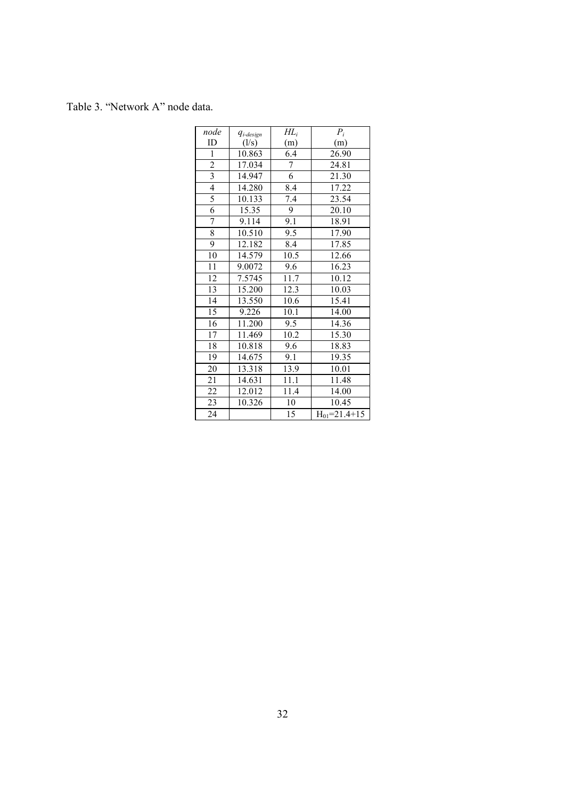Table 3. "Network A" node data.

| node            | $q_{i$ -design | $H\!L_i$          | $P_i$                |
|-----------------|----------------|-------------------|----------------------|
| ID              | (1/s)          | (m)               | (m)                  |
| $\mathbf{1}$    | 10.863         | 6.4               | 26.90                |
| $rac{2}{3}$     | 17.034         | $\sqrt{ }$        | 24.81                |
|                 | 14.947         | 6                 | 21.30                |
| $\overline{4}$  | 14.280         | 8.4               | 17.22                |
| $\frac{5}{6}$   | 10.133         | 7.4               | 23.54                |
|                 | 15.35          | 9                 | 20.10                |
| 7               | 9.114          | 9.1               | 18.91                |
| $\overline{8}$  | 10.510         | 9.5               | 17.90                |
| 9               | 12.182         | 8.4               | 17.85                |
| 10              | 14.579         | 10.5              | 12.66                |
| 11              | 9.0072         | 9.6               | 16.23                |
| 12              | 7.5745         | 11.7              | 10.12                |
| $\overline{13}$ | 15.200         | 12.3              | 10.03                |
| $\overline{14}$ | 13.550         | 10.6              | 15.41                |
| 15              | 9.226          | 10.1              | 14.00                |
| 16              | 11.200         | 9.5               | 14.36                |
| $\overline{17}$ | 11.469         | $10.\overline{2}$ | 15.30                |
| 18              | 10.818         | 9.6               | 18.83                |
| 19              | 14.675         | 9.1               | 19.35                |
| 20              | 13.318         | 13.9              | 10.01                |
| 21              | 14.631         | 11.1              | 11.48                |
| 22              | 12.012         | 11.4              | 14.00                |
| 23              | 10.326         | 10                | 10.45                |
| 24              |                | 15                | $H_{01} = 21.4 + 15$ |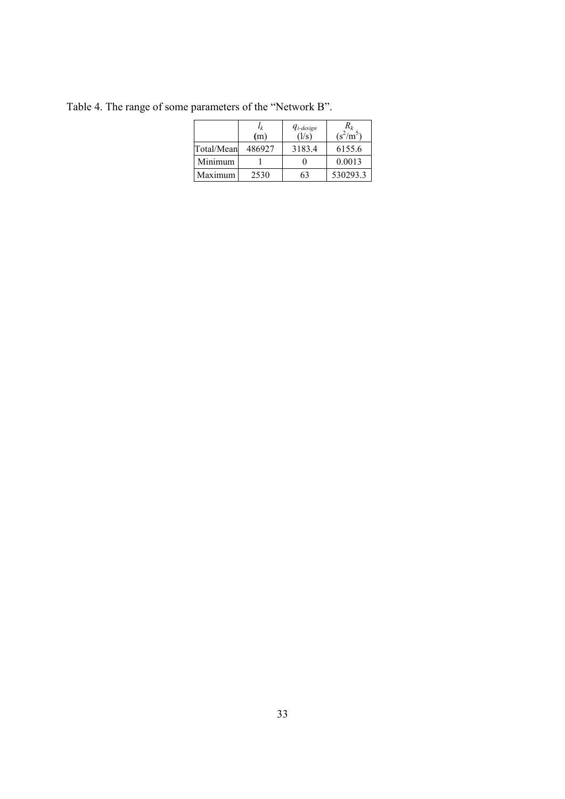|            | $l_k$<br>(m` | $q_{i\textrm{-}design}$<br>(1/s) | $R_k$<br>$(s^2/m^5)$ |
|------------|--------------|----------------------------------|----------------------|
| Total/Mean | 486927       | 3183.4                           | 6155.6               |
| Minimum    |              |                                  | 0.0013               |
| Maximum    | 2530         | 63                               | 530293.3             |

Table 4. The range of some parameters of the "Network B".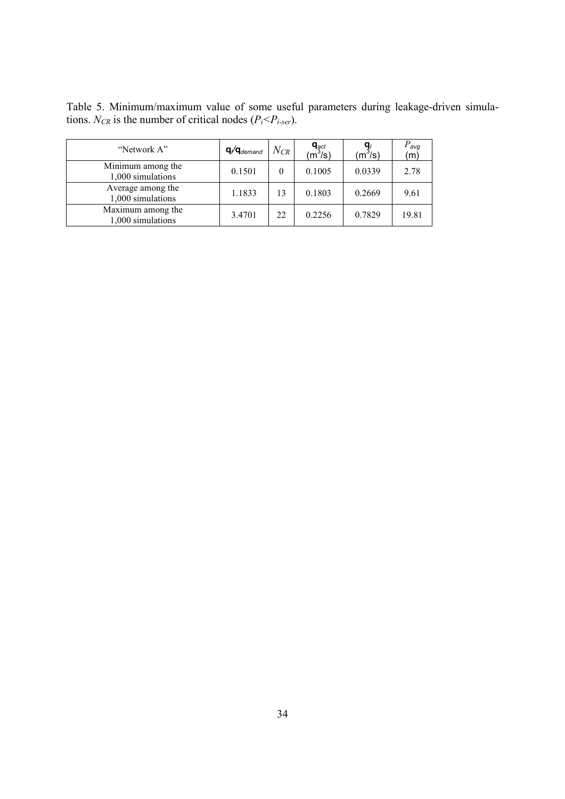Table 5. Minimum/maximum value of some useful parameters during leakage-driven simulations. *N<sub>CR</sub>* is the number of critical nodes ( $P_i < P_{i\text{-}ser}$ ).

| "Network A"                            | $\mathbf{q}$ / $\mathbf{q}$ <sub>demand</sub> | $N_{CR}$ | $\mathbf{q}_{\mathsf{gct}}$ (m $^3$ /s) | $(m^3/s)$ | $P_{\text{avg}}$<br>(m) |
|----------------------------------------|-----------------------------------------------|----------|-----------------------------------------|-----------|-------------------------|
| Minimum among the<br>1,000 simulations | 0.1501                                        | 0        | 0.1005                                  | 0.0339    | 2.78                    |
| Average among the<br>1,000 simulations | 1.1833                                        | 13       | 0.1803                                  | 0.2669    | 9.61                    |
| Maximum among the<br>1,000 simulations | 3.4701                                        | 22       | 0.2256                                  | 0.7829    | 19.81                   |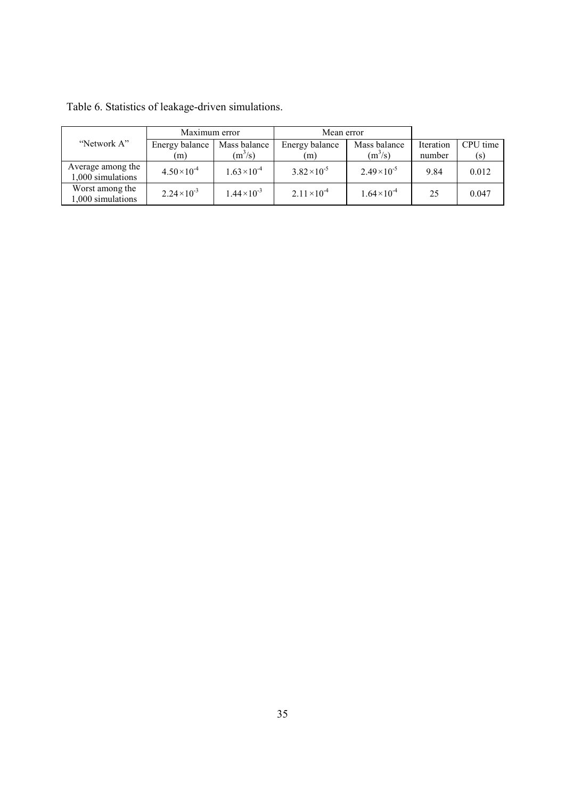|                                        | Maximum error         |                       | Mean error            |                       |           |          |
|----------------------------------------|-----------------------|-----------------------|-----------------------|-----------------------|-----------|----------|
| "Network A"                            | Energy balance        | Mass balance          | Energy balance        | Mass balance          | Iteration | CPU time |
|                                        | (m)                   | $(m^3/s)$             | (m)                   | $(m^3/s)$             | number    | (s)      |
| Average among the<br>1,000 simulations | $4.50 \times 10^{-4}$ | $1.63 \times 10^{-4}$ | $3.82 \times 10^{-5}$ | $2.49 \times 10^{-5}$ | 9.84      | 0.012    |
| Worst among the<br>1.000 simulations   | $2.24 \times 10^{-3}$ | $1.44 \times 10^{-3}$ | $2.11 \times 10^{-4}$ | $1.64 \times 10^{-4}$ | 25        | 0.047    |

Table 6. Statistics of leakage-driven simulations.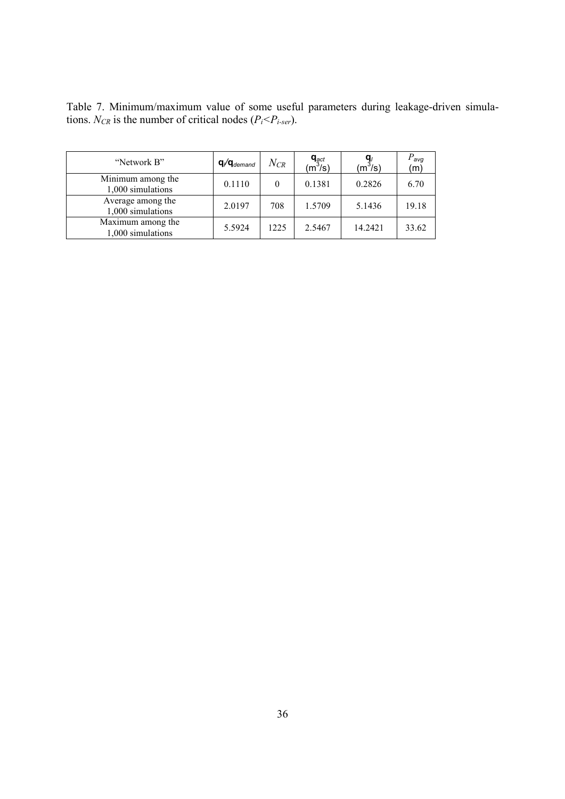Table 7. Minimum/maximum value of some useful parameters during leakage-driven simulations. *N<sub>CR</sub>* is the number of critical nodes ( $P_i < P_{i\text{-}ser}$ ).

| "Network B"                            | $q/q_{demand}$ | $N_{CR}$ | $q_{\text{act}}$ (m <sup>3</sup> /s) | (m <sup>3</sup> /s) | $P_{\textit{avg}}$<br>(m) |
|----------------------------------------|----------------|----------|--------------------------------------|---------------------|---------------------------|
| Minimum among the<br>1,000 simulations | 0.1110         | 0        | 0.1381                               | 0.2826              | 6.70                      |
| Average among the<br>1,000 simulations | 2.0197         | 708      | 1.5709                               | 5.1436              | 19.18                     |
| Maximum among the<br>1,000 simulations | 5.5924         | 1225     | 2.5467                               | 14.2421             | 33.62                     |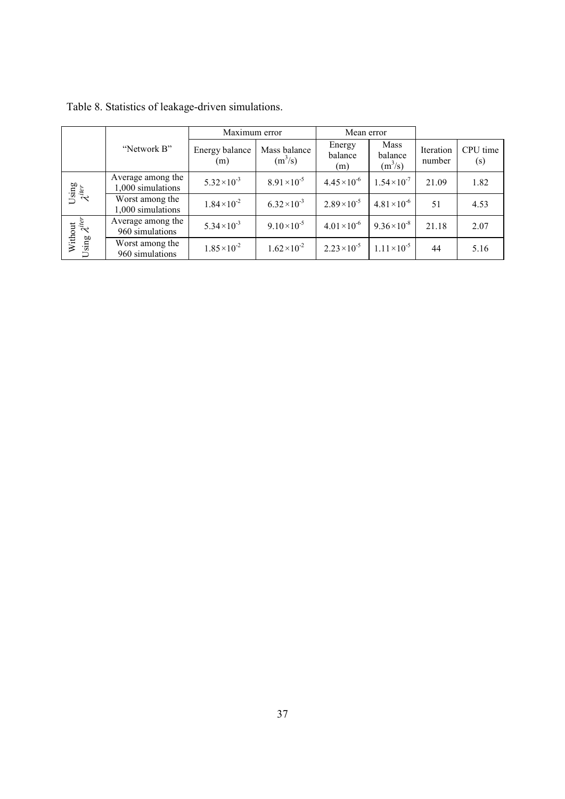|                                   |                                        | Maximum error         |                           | Mean error               |                              |                     |                 |
|-----------------------------------|----------------------------------------|-----------------------|---------------------------|--------------------------|------------------------------|---------------------|-----------------|
|                                   | "Network B"                            | Energy balance<br>(m) | Mass balance<br>$(m^3/s)$ | Energy<br>balance<br>(m) | Mass<br>balance<br>$(m^3/s)$ | Iteration<br>number | CPU time<br>(s) |
| Using $\mathcal{X}^{iter}$        | Average among the<br>1,000 simulations | $5.32 \times 10^{-3}$ | $8.91 \times 10^{-5}$     | $4.45 \times 10^{-6}$    | $1.54 \times 10^{-7}$        | 21.09               | 1.82            |
|                                   | Worst among the<br>1,000 simulations   | $1.84 \times 10^{-2}$ | $6.32 \times 10^{-3}$     | $2.89 \times 10^{-5}$    | $4.81 \times 10^{-6}$        | 51                  | 4.53            |
|                                   | Average among the<br>960 simulations   | $5.34 \times 10^{-3}$ | $9.10 \times 10^{-5}$     | $4.01 \times 10^{-6}$    | $9.36 \times 10^{-8}$        | 21.18               | 2.07            |
| Without<br>Using $\lambda^{iter}$ | Worst among the<br>960 simulations     | $1.85 \times 10^{-2}$ | $1.62 \times 10^{-2}$     | $2.23 \times 10^{-5}$    | $1.11 \times 10^{-5}$        | 44                  | 5.16            |

| Table 8. Statistics of leakage-driven simulations. |  |
|----------------------------------------------------|--|
|----------------------------------------------------|--|